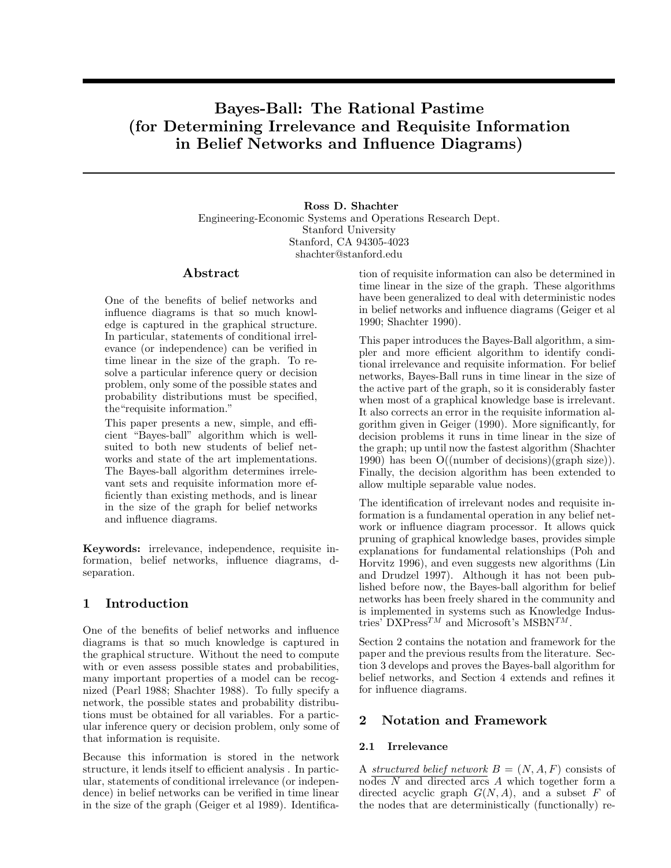# Bayes-Ball: The Rational Pastime Bayes-Ball: The Rational Pastime<br>(for Determining Irrelevance and Requisite Information<br>in Belief Networks and Influence Diagrams) Bayes-Ball: The Rational Pastime<br>etermining Irrelevance and Requisite Informat<br>in Belief Networks and Influence Diagrams)

Ross D. Shachter **Engineering-Economic Systems and Operations Research Dept.**<br>Stanford University Ross D. Shachter<br>
Systems and Operation:<br>
Stanford University<br>
unford CA 94305-4023 mic Systems and Operations<br>Stanford, CA 94305-4023<br>shachter@stanford.edu shachter@stanford.edu Stanford, CA 94305-4023<br>shachter@stanford.edu<br>tion of requisite information can also be determined in

### Abstract

**ADSTRACT**<br>One of the benefits of belief networks and<br>influence diagrams is that so much knowl-One of the benefits of belief networks and<br>influence diagrams is that so much knowl-<br>edge is captured in the graphical structure One of the benefits of belief networks and<br>influence diagrams is that so much knowl-<br>edge is captured in the graphical structure.<br>In particular, statements of conditional irrelinfluence diagrams is that so much knowledge is captured in the graphical structure.<br>In particular, statements of conditional irrel-<br>evance (or independence) can be verified in edge is captured in the graphical structure.<br>In particular, statements of conditional irrel-<br>evance (or independence) can be verified in<br>time linear in the size of the graph. To re-In particular, statements of conditional irrel-<br>evance (or independence) can be verified in<br>time linear in the size of the graph. To re-<br>solve a particular inference query or decision evance (or independence) can be verified in<br>time linear in the size of the graph. To re-<br>solve a particular inference query or decision<br>problem only some of the possible states and time linear in the size of the graph. To resolve a particular inference query or decision<br>problem, only some of the possible states and<br>probability distributions must be specified solve a particular inference query or decision<br>problem, only some of the possible states and<br>probability distributions must be specified,<br>the "requisite information" problem, only some of the poss<br>probability distributions must<br>the "requisite information."<br>This nance presents a new site

the "requisite information."<br>This paper presents a new, simple, and effithe "requisite information."<br>This paper presents a new, simple, and effi-<br>cient "Bayes-ball" algorithm which is well-<br>suited to both new students of belief net-This paper presents a new, simple, and efficient "Bayes-ball" algorithm which is well-<br>suited to both new students of belief net-<br>works and state of the art implementations cient "Bayes-ball" algorithm which is well-<br>suited to both new students of belief net-<br>works and state of the art implementations.<br>The Bayes-ball algorithm determines irrelesuited to both new students of belief networks and state of the art implementations.<br>The Bayes-ball algorithm determines irrele-<br>vant sets and requisite information more efworks and state of the art implementations.<br>The Bayes-ball algorithm determines irrelevant sets and requisite information more ef-<br>ficiently than existing methods, and is linear The Bayes-ball algorithm determines irrelevant sets and requisite information more efficiently than existing methods, and is linear<br>in the size of the graph for belief networks vant sets and requisite information more ef-<br>ficiently than existing methods, and is linear<br>in the size of the graph for belief networks<br>and influence diagrams ficiently than existing me<br>in the size of the graph<br>and influence diagrams.

and influence diagrams.<br>Keywords: irrelevance, independence, requisite information, belief networks, influence diagrams, dseparation.

# 1 Introduction

One of the benefits of belief networks and influence diagrams is that so much knowledge is captured in One of the benefits of belief networks and influence<br>diagrams is that so much knowledge is captured in<br>the graphical structure. Without the need to compute<br>with or even assess possible states and probabilities diagrams is that so much knowledge is captured in<br>the graphical structure. Without the need to compute<br>with or even assess possible states and probabilities,<br>many important properties of a model can be recogthe graphical structure. Without the need to compute<br>with or even assess possible states and probabilities,<br>many important properties of a model can be recog-<br>nized (Pearl 1988: Shachter 1988). To fully specify a with or even assess possible states and probabilities,<br>many important properties of a model can be recog-<br>nized (Pearl 1988; Shachter 1988). To fully specify a<br>network the possible states and probability distribumany important properties of a model can be recognized (Pearl 1988; Shachter 1988). To fully specify a network, the possible states and probability distribu-<br>tions must be obtained for all variables. For a particnized (Pearl 1988; Shachter 1988). To fully specify a<br>network, the possible states and probability distribu-<br>tions must be obtained for all variables. For a partic-<br>ular inference query or decision problem, only some of network, the possible states and probability distribu-<br>tions must be obtained for all variables. For a partic-<br>ular inference query or decision problem, only some of<br>that information is requisite tions must be obtained for all<br>ular inference query or decision<br>that information is requisite.

that information is requisite.<br>Because this information is stored in the network<br>structure it lends itself to efficient analysis. In particstructure, it lends itself to efficient analysis . In particular statements of conditional irrelevance (or independent Because this information is stored in the network<br>structure, it lends itself to efficient analysis . In partic-<br>ular, statements of conditional irrelevance (or indepen-<br>dence) in belief networks can be verified in time lin structure, it lends itself to efficient analysis . In particular, statements of conditional irrelevance (or independence) in belief networks can be verified in time linear in the size of the graph (Geiger et al 1989). Identifica-

tion of requisite information can also be determined in<br>time linear in the size of the graph. These algorithms<br>have been generalized to deal with deterministic nodes tion of requisite information can also be determined in<br>time linear in the size of the graph. These algorithms<br>have been generalized to deal with deterministic nodes<br>in belief networks and influence diagrams (Geiger et al time linear in the size of the graph. These algorithms<br>have been generalized to deal with deterministic nodes<br>in belief networks and influence diagrams (Geiger et al<br>1990: Shachter 1990) have been generalized to<br>in belief networks and in<br>1990; Shachter 1990).

This paper introduces the Bayes-Ball algorithm, a simpler and more efficient algorithm to identify condipler and more efficient algorithm, a simpler and more efficient algorithm to identify condi-<br>pler and more efficient algorithm to identify condi-<br>tional irrelevance and requisite information. For belief This paper introduces the Bayes-Ball algorithm, a simpler and more efficient algorithm to identify conditional irrelevance and requisite information. For belief networks Bayes-Ball runs in time linear in the size of pler and more efficient algorithm to identify conditional irrelevance and requisite information. For belief networks, Bayes-Ball runs in time linear in the size of the active part of the graph so it is considerably faster tional irrelevance and requisite information. For belief networks, Bayes-Ball runs in time linear in the size of the active part of the graph, so it is considerably faster networks, Bayes-Ball runs in time linear in the size of<br>the active part of the graph, so it is considerably faster<br>when most of a graphical knowledge base is irrelevant.<br>It also corrects an error in the requisite informati the active part of the graph, so it is considerably faster<br>when most of a graphical knowledge base is irrelevant.<br>It also corrects an error in the requisite information al-<br>gorithm given in Geiger (1990). More significantl when most of a graphical knowledge base is irrelevant.<br>It also corrects an error in the requisite information algorithm given in Geiger (1990). More significantly, for<br>decision problems it runs in time linear in the size o It also corrects an error in the requisite information algorithm given in Geiger (1990). More significantly, for decision problems it runs in time linear in the size of the graph: up until now the fastest algorithm (Shacht gorithm given in Geiger (1990). More significantly, for<br>decision problems it runs in time linear in the size of<br>the graph; up until now the fastest algorithm (Shachter<br>1990) has been  $O((\text{number of decisions})(\text{graph size}))$ decision problems it runs in time linear in the size of<br>the graph; up until now the fastest algorithm (Shachter<br>1990) has been O((number of decisions)(graph size)).<br>Finally the decision algorithm has been extended to the graph; up until now the fastest algorithm (Shachter 1990) has been  $O((\text{number of decisions})(\text{graph size}))$ .<br>Finally, the decision algorithm has been extended to allow multiple separable value nodes Finally, the decision algorithm has been extended to allow multiple separable value nodes.

The identification of irrelevant nodes and requisite in-<br>The identification of irrelevant nodes and requisite in-<br>formation is a fundamental operation in any belief netformation is a fundamental operation in any belief net-<br>formation is a fundamental operation in any belief net-<br>work or influence diagram processor. It allows quick The identification of irrelevant nodes and requisite information is a fundamental operation in any belief network or influence diagram processor. It allows quick<br>pruning of graphical knowledge bases, provides simple formation is a fundamental operation in any belief network or influence diagram processor. It allows quick<br>pruning of graphical knowledge bases, provides simple<br>explanations for fundamental relationships (Poh and work or influence diagram processor. It allows quick<br>pruning of graphical knowledge bases, provides simple<br>explanations for fundamental relationships (Poh and<br>Horvitz 1996) and even suggests new algorithms (Lin pruning of graphical knowledge bases, provides simple<br>explanations for fundamental relationships (Poh and<br>Horvitz 1996), and even suggests new algorithms (Lin<br>and Drudzel 1997) – Although it has not been pub-Horvitz 1996), and even suggests new algorithms (Lin and Drudzel 1997). Although it has not been pub-<br>lished before now, the Baves-ball algorithm for belief and Drudzel 1997). Although it has not been pub-<br>lished before now, the Bayes-ball algorithm for belief<br>networks has been freely shared in the community and and Drudzel 1997). Although it has not been pub-<br>lished before now, the Bayes-ball algorithm for belief<br>networks has been freely shared in the community and<br>is implemented in systems such as Knowledge Induslished before now, the Bayes-ball algorithm for belief<br>networks has been freely shared in the community and<br>is implemented in systems such as Knowledge Indus-<br>tries' DXPress<sup>TM</sup> and Microsoft's MSBN<sup>TM</sup> networks has been freely shared in the communit<br>is implemented in systems such as Knowledge I<br>tries'  $\text{DXPress}^{TM}$  and Microsoft's  $\text{MSBN}^{TM}$ .

 $S^T M$  and Microsoft's MSBN<sup>TM</sup>.<br>Section 2 contains the notation and framework for the<br>paper and the previous results from the literature. Secpaper and the paper and the previous results from the literature. Sec-<br>paper and the previous results from the literature. Sec-<br>tion 3 develops and proves the Bayes-ball algorithm for Section 2 contains the notation and framework for the<br>paper and the previous results from the literature. Sec-<br>tion 3 develops and proves the Bayes-ball algorithm for<br>belief networks, and Section 4 extends and refines it paper and the previous results from the literature. Section 3 develops and proves the Bayes-ball algorithm for belief networks, and Section 4 extends and refines it for influence diagrams belief networks, and Section 4 extends and refines it for influence diagrams.

# 2 Notation and Framework

## 2.1 Irrelevance

**2.1 Irrelevance**<br>A structured belief network  $B = (N, A, F)$  consists of<br>nodes N and directed arcs A which together form a A structured belief network  $B = (N, A, F)$  consists of nodes N and directed arcs A which together form a directed acyclic graph  $G(N, A)$  and a subset F of A structured belief network  $B = (N, A, F)$  consists of nodes N and directed accs A which together form a directed acyclic graph  $G(N, A)$ , and a subset F of the nodes that are deterministically (functionally) renodes N and directed arcs A which together form a directed acyclic graph  $G(N, A)$ , and a subset F of the nodes that are deterministically (functionally) re-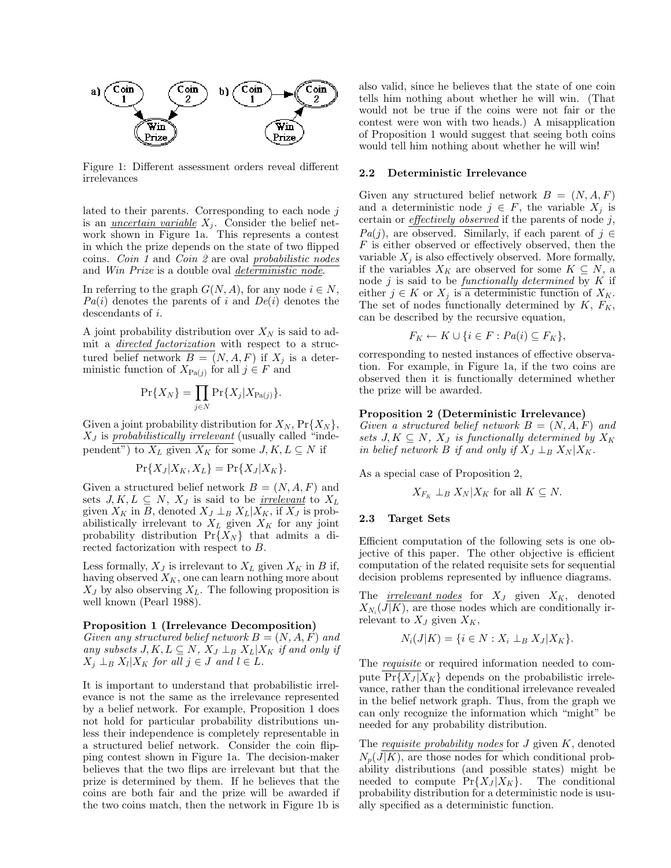

irrelevances

lated to their parents. Corresponding to each node  $j$ lated to their parents. Corresponding to each node  $j$  is an <u>uncertain variable</u>  $X_j$ . Consider the belief net-<br>work shown in Figure 1a. This represents a contest work shown in Figure 1a. This represents a contest is an <u>uncertain variable</u>  $X_j$ . Consider the belief network shown in Figure 1a. This represents a contest<br>in which the prize depends on the state of two flipped<br>coins *Coin 1* and *Coin 2* are oval probabilistic nodes work shown in Figure 1a. This represents a contest<br>in which the prize depends on the state of two flipped<br>coins. *Coin 1* and *Coin 2* are oval *probabilistic nodes*<br>and *Win Prize* is a double oval *deterministic node* in which the prize depends on the state of two flippecins. *Coin 1* and *Coin 2* are oval *probabilistic node* and *Win Prize* is a double oval *deterministic node*.

coins. *Coin 1* and *Coin 2* are oval *<u>probabilistic nodes</u>* and *Win Prize* is a double oval <u>deterministic node</u>.<br>In referring to the graph  $G(N, A)$ , for any node  $i \in N$ ,  $Pa(i)$  denotes the parents of i and  $De(i)$  denotes  $Pa(i)$  denotes the parents of i and  $De(i)$  denotes the descendants of i.<br>A joint probability distribution over  $X_N$  is said to ad-<br>mit a *directed factorization* with respect to a struc-

A joint probability distribution over  $X_N$  is said to ad-A joint probability distribution over  $X_N$  is said to admit a *directed factorization* with respect to a structured belief network  $B = (N, A, F)$  if  $X_j$  is a deterministic function of  $X_{D}(x)$  for all  $j \in F$  and mit a *directed factorization* with respect to a<br>tured belief network  $B = (N, A, F)$  if  $X_j$  is a<br>ministic function of  $X_{Pa(j)}$  for all  $j \in F$  and

$$
\Pr\{X_N\} = \prod_{j \in N} \Pr\{X_j | X_{\text{Pa}(j)}\}.
$$

Given a joint probability distribution for  $X_N$ ,  $Pr{X_N}$ ,  $X_J$  is *probabilistically irrelevant* (usually called "inde-Given a joint probability distribution for  $X_N$ ,  $Pr{X_N}$ ,  $X_J$  is *probabilistically irrelevant* (usually called "independent") to  $X_L$  given  $X_K$  for some  $J, K, L \subseteq N$  if

$$
\Pr\{X_J|X_K,X_L\} = \Pr\{X_J|X_K\}.
$$

pendent") to  $X_L$  given  $X_K$  for some  $J, K, L \subseteq N$  if<br>  $\Pr{X_J | X_K, X_L} = \Pr{X_J | X_K}$ .<br>
Given a structured belief network  $B = (N, A, F)$  and<br>
sets  $J K L \subseteq N X_L$  is said to be *irrelevant* to  $X_L$ Given a structured belief network  $B = (N, A, F)$  and sets  $J, K, L \subseteq N$ ,  $X_J$  is said to be <u>irrelevant</u> to  $X_L$ Given a structured belief network  $B = (N, A, F)$  and<br>sets  $J, K, L \subseteq N$ ,  $X_J$  is said to be <u>irrelevant</u> to  $X_L$ <br>given  $X_K$  in B, denoted  $X_J \perp_B X_L|X_K$ , if  $X_J$  is prob-<br>abilistically irrelevant to  $X_L$  given  $X_K$  for any joint sets  $J, K, L \subseteq N$ ,  $X_J$  is said to be <u>irrelevant</u> to  $X_L$  given  $X_K$  in  $B$ , denoted  $X_J \perp_B X_L | X_K$ , if  $X_J$  is probabilistically irrelevant to  $X_L$  given  $X_K$  for any joint probability distribution  $\Pr{X_N}$  that admits a d abilistically irrelevant to  $X_L$  given  $X_K$  for any joint probability distribution  $Pr{X_N}$  that admits a directed factorization with respect to  $B$ . abilistically irrelevant to  $X_L$  given  $X_K$  for any joint<br>probability distribution  $\Pr\{X_N\}$  that admits a di-<br>rected factorization with respect to B.<br>Less formally,  $X_J$  is irrelevant to  $X_L$  given  $X_K$  in B if,<br>having

Less formally,  $X_J$  is irrelevant to  $X_L$  given  $X_K$  in B if,<br>having observed  $X_K$ , one can learn nothing more about<br> $X_J$  by also observing  $X_J$ . The following proposition is Less formally,  $X_J$  is irrelevant to  $X_L$  given  $X_K$  in  $B$  if,<br>having observed  $X_K$ , one can learn nothing more about<br> $X_J$  by also observing  $X_L$ . The following proposition is<br>well known (Pearl 1988) having observed  $X_K$ , one can learn nothing more about  $X_J$  by also observing  $X_L$ . The following proposition is well known (Pearl 1988).

### Proposition 1 (Irrelevance Decomposition)

Given any structured belief network  $B = (N, A, F)$  and **Proposition 1 (Irrelevance Decomposition)**<br>Given any structured belief network  $B = (N, A, F)$  and<br>any subsets J, K, L ⊆ N, X<sub>J</sub> ⊥<sub>B</sub> X<sub>L</sub>|X<sub>K</sub> if and only if<br>X<sub>i</sub> | p X<sub>i</sub>|X<sub>K</sub> for all  $i \in I$  and  $l \in I$ . Given any structured belief network  $B =$ <br>any subsets  $J, K, L \subseteq N$ ,  $X_J \perp_B X_L | X_K$ <br> $X_j \perp_B X_l | X_K$  for all  $j \in J$  and  $l \in L$ .

 $X_j \perp_B X_l | X_K$  for all  $j \in J$  and  $l \in L$ .<br>It is important to understand that probabilistic irrel-<br>evance is not the same as the irrelevance represented It is important to understand that probabilistic irrelevance is not the same as the irrelevance represented<br>by a belief network. For example Proposition 1 does It is important to understand that probabilistic irrelevance is not the same as the irrelevance represented<br>by a belief network. For example, Proposition 1 does<br>not hold for particular probability distributions unevance is not the same as the irrelevance represented<br>by a belief network. For example, Proposition 1 does<br>not hold for particular probability distributions un-<br>less their independence is completely representable in by a belief network. For example, Proposition 1 does<br>not hold for particular probability distributions un-<br>less their independence is completely representable in<br>a structured belief network. Consider the coin flipnot hold for particular probability distributions un-<br>less their independence is completely representable in<br>a structured belief network. Consider the coin flip-<br>ping-contest shown in Figure 1a. The decision-maker less their independence is completely representable in<br>a structured belief network. Consider the coin flip-<br>ping contest shown in Figure 1a. The decision-maker<br>believes that the two flips are irrelevant but that the ping contest shown in Figure 1a. The decision-maker ping contest shown in Figure 1a. The decision-maker<br>believes that the two flips are irrelevant but that the<br>prize is determined by them. If he believes that the<br>coins are both fair and the prize will be awarded if believes that the two flips are irrelevant but that the prize is determined by them. If he believes that the coins are both fair and the prize will be awarded if the two coins match then the network in Figure 1b is prize is determined by them. If he believes that the coins are both fair and the prize will be awarded if the two coins match, then the network in Figure 1b is

also valid, since he believes that the state of one coin<br>tells him nothing about whether he will win (That also valid, since he believes that the state of one coin<br>tells him nothing about whether he will win. (That<br>would not be true if the coins were not fair or the also valid, since he believes that the state of one coin<br>tells him nothing about whether he will win. (That<br>would not be true if the coins were not fair or the<br>contest were won with two heads) A misannlication tells him nothing about whether he will win. (That<br>would not be true if the coins were not fair or the<br>contest were won with two heads.) A misapplication<br>of Proposition 1 would suggest that seeing both coins would not be true if the coins were not fair or the contest were won with two heads.) A misapplication of Proposition 1 would suggest that seeing both coins would tell him nothing about whether he will win! contest were won with two heads.) A misapplication of Proposition 1 would suggest that seeing both coir would tell him nothing about whether he will win! would tell him nothing about whether he will win!<br>2.2 Deterministic Irrelevance

Given any structured belief network  $B = (N, A, F)$ Given any structured belief network  $B = (N, A, F)$ <br>and a deterministic node  $j \in F$ , the variable  $X_j$  is<br>certain or *effectively observed* if the parents of node *i* Given any structured belief network  $B = (N, A, F)$ <br>and a deterministic node  $j \in F$ , the variable  $X_j$  is<br>certain or effectively observed if the parents of node j,<br> $Pa(j)$ , are observed. Similarly, if each parent of  $j \in$ <br> $F$  i certain or <u>effectively observed</u> if the parents of node j,<br>  $Pa(j)$ , are observed. Similarly, if each parent of  $j \in$ <br>
F is either observed or effectively observed, then the<br>
variable  $X_i$  is also effectively observed. Mor variable  $X_j$  is also effectively observed. More formally, bbserved. Similarly, if each parent of  $j \in$ <br>observed or effectively observed, then the<br>is also effectively observed. More formally,<br>oles  $X_K$  are observed for some  $K \subseteq N$  a F is either observed or effectively observed, then the variable  $X_j$  is also effectively observed. More formally, if the variables  $X_K$  are observed for some  $K \subseteq N$ , a variable  $X_j$  is also effectively observed. More formally,<br>if the variables  $X_K$  are observed for some  $K \subseteq N$ , a<br>node j is said to be *functionally determined* by K if<br>either  $i \in K$  or  $X_i$  is a deterministic function of either  $j \in K$  or  $X_j$  is a deterministic function of  $X_K$ .<br>The set of nodes functionally determined by  $K$ ,  $F_K$ , if the variables  $X_K$  are observed for some  $K \subseteq N$ , a node j is said to be <u>functionally determined</u> by K if either  $j \in K$  or  $X_j$  is a deterministic function of  $X_K$ . The set of nodes functionally determined by  $K$ ,  $F_K$ 

$$
F_K \leftarrow K \cup \{ i \in F : Pa(i) \subseteq F_K \},\
$$

 $F_K \leftarrow K \cup \{i \in F : Pa(i) \subseteq F_K\},$ <br>corresponding to nested instances of effective observa-<br>tion. For example, in Figure 1a, if the two coins are the  $T_{K}$  of  $\bigcup_{v \in T} T_{\alpha(v)} \subseteq T_{K}$ ,<br>corresponding to nested instances of effective observa-<br>tion. For example, in Figure 1a, if the two coins are<br>observed then it is functionally determined whether corresponding to nested instances of effective observation. For example, in Figure 1a, if the two coins are observed then it is functionally determined whether the prize will be awarded tion. For example, in Figure<br>observed then it is function<br>the prize will be awarded. the prize will be awarded.<br>Proposition 2 (Deterministic Irrelevance)

Given a structured belief network  $B = (N, A, F)$  and **Proposition 2 (Deterministic Irrelevance)**<br>Given a structured belief network  $B = (N, A, F)$  and<br>sets  $J, K \subseteq N$ ,  $X_J$  is functionally determined by  $X_K$ <br>in belief network  $B$  if and only if  $X_J \perp_R X_N | X_K$ Given a structured belief network  $B = (N, A, F)$  as sets  $J, K \subseteq N$ ,  $X_J$  is functionally determined by  $X$  in belief network  $B$  if and only if  $X_J \perp_B X_N | X_K$ .<br>As a special case of Proposition 2,

As a special case of Proposition 2.

$$
X_{F_V} \perp_B X_N | X_K
$$
 for all  $K \subseteq N$ .

### 2.3 Target Sets

Efficient computation of the following sets is one ob-Efficient computation of the following sets is one objective of this paper. The other objective is efficient computation of the related requisite sets for sequential Efficient computation of the following sets is one objective of this paper. The other objective is efficient computation of the related requisite sets for sequential decision problems represented by influence diagrams computation of the related requisite sets for sequential decision problems represented by influence diagrams.

decision problems represented by influence diagrams.<br>The <u>irrelevant nodes</u> for  $X_J$  given  $X_K$ , denoted  $X_N$  (*J*|*K*) are those nodes which are conditionally in-The *irrelevant nodes* for  $X_J$  given  $X_K$ , denoted  $X_{N_i}(J|K)$ , are those nodes which are conditionally irrelevant to  $X_J$  given  $X_K$  $X_{N_i}(J|K)$ , are those nodes which are conditionally irrelevant to  $X_J$  given  $X_K$ ,

$$
N_i(J|K) = \{i \in N : X_i \perp_B X_J | X_K\}.
$$

 $N_i(J|K) = \{i \in N : X_i \perp_B X_J | X_K\}.$ <br>The *requisite* or required information needed to com-<br>puto  $\overline{\Pr{X \perp X}}$ . depends on the probabilistic irrela The <u>requisite</u> or required information needed to compute  $Pr{\{X_J | X_K\}}$  depends on the probabilistic irrele-<br>vance rather than the conditional irrelevance revealed pute  $Pr{X_J|X_K}$  depends on the probabilistic irrelevance, rather than the conditional irrelevance revealed pute  $Pr{X_J | X_K}$  depends on the probabilistic irrelevance, rather than the conditional irrelevance revealed<br>in the belief network graph. Thus, from the graph we<br>can only recognize the information which "might" be vance, rather than the conditional irrelevance revealed<br>in the belief network graph. Thus, from the graph we<br>can only recognize the information which "might" be<br>needed for any probability distribution in the belief network graph. Thus, from t<br>can only recognize the information which<br>needed for any probability distribution.

the requisite probability distribution.<br>The requisite probability nodes for J given K, denoted  $N(\overline{I|K})$  are those nodes for which conditional prob-The requisite probability nodes for J given K, denoted  $N_p(J|K)$ , are those nodes for which conditional prob-<br>ability distributions (and possible states) might be The requisite probability nodes for J given K, denoted  $N_p(J|K)$ , are those nodes for which conditional probability distributions (and possible states) might be needed to compute  $Pr\{X_I | X_{I'}\}$ . The conditional  $N_p(J|K)$ , are those nodes for which conditional probability distributions (and possible states) might be needed to compute  $Pr{X_J | X_K}$ . The conditional probability distribution for a deterministic node is usuability distributions (and possible states) might be needed to compute  $Pr{X_J|X_K}$ . The conditional probability distribution for a deterministic node is usu-<br>ally specified as a deterministic function needed to compute  $Pr{X_J|X_K}$ . The conditional probability distribution for a deterministic node is usually specified as a deterministic function.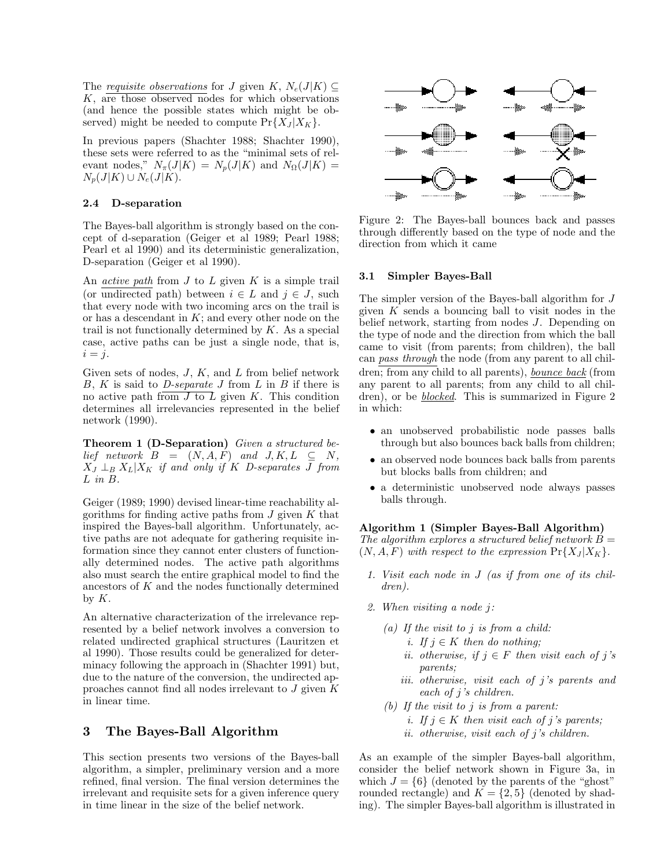The requisite observations for J given K,  $N_e(J|K) \subseteq$ The <u>requisite observations</u> for J given  $K$ ,  $N_e(J|K) \subseteq K$ , are those observed nodes for which observations (and hence the possible states which might be ob-The <u>requisite observations</u> for J given  $K$ ,  $N_e(J|K) \subseteq K$ , are those observed nodes for which observations (and hence the possible states which might be observed) might be needed to compute  $Pr\{X_I|X_K\}$ K, are those observed nodes for which observation<br>(and hence the possible states which might be observed) might be needed to compute  $Pr{X_J | X_K}$ .

(and nence the possible states which higher be observed) might be needed to compute  $Pr{X_J|X_K}$ .<br>In previous papers (Shachter 1988; Shachter 1990), these sets were referred to as the "minimal sets of rel-In previous papers (Shachter 1988; Shachter 1990), these sets were referred to as the "minimal sets of relevant nodes,"  $N_{\pi}(J|K) = N_p(J|K)$  and  $N_{\Omega}(J|K) =$  $N_p(J|K) \cup N_e(J|K)$ .

### 2.4 D-separation

The Bayes-ball algorithm is strongly based on the concept of d-separation (Geiger et al 1989; Pearl 1988; The Bayes-ball algorithm is strongly based on the concept of d-separation (Geiger et al 1989; Pearl 1988; Pearl et al 1990) and its deterministic generalization, D-separation (Geiger et al 1990) cept of d-separation (Geiger et al<br>Pearl et al 1990) and its determini<br>D-separation (Geiger et al 1990).

D-separation (Geiger et al 1990).<br>
An <u>active path</u> from J to L given K is a simple trail<br>
(or undirected path) between  $i \in I$  and  $i \in J$  such An <u>active path</u> from J to L given K is a simple trail<br>(or undirected path) between  $i \in L$  and  $j \in J$ , such<br>that every node with two incoming arcs on the trail is An <u>active path</u> from J to L given K is a simple trail **3.1**<br>(or undirected path) between  $i \in L$  and  $j \in J$ , such that every node with two incoming arcs on the trail is give<br>or has a descendant in K; and every other node that every node with two incoming arcs on the trail is trail is not functionally determined by  $K$ . As a special case, active paths can be just a single node, that is,  $i = j$ .

Given sets of nodes,  $J, K$ , and  $L$  from belief network Given sets of nodes,  $J$ ,  $K$ , and  $L$  from belief network  $B$ ,  $K$  is said to  $D$ -separate  $J$  from  $L$  in  $B$  if there is no active path from  $J$  to  $L$  given  $K$ . This condition determines all irrelevancies represented  $B$ ,  $K$  is said to  $D$ -separate  $J$  from  $L$  in  $B$  if there is no active path from  $J$  to  $L$  given  $K$ . This condition determines all irrelevancies represented in the belief network (1990) determines all irrelevancies represented in the belief network (1990).

**Theorem 1 (D-Separation)** Given a structured be-<br>lief network  $B = (N, A, F)$  and  $J, K, L \subseteq N$ ,  $\sum_{I=1}^{N} \sum_{B} X_L | X_K \text{ if and only if } K \text{ } D\text{-}separates \text{ } \overline{J} \text{ from } L \text{ in } B.$ 

L in B.<br>Geiger (1989; 1990) devised linear-time reachability al-<br>gorithms for finding active paths from L given K that Geiger (1989; 1990) devised linear-time reachability algorithms for finding active paths from  $J$  given  $K$  that inspired the Bayes-ball algorithm. Unfortunately, ac-Geiger (1989; 1990) devised linear-time reachability algorithms for finding active paths from  $J$  given  $K$  that inspired the Bayes-ball algorithm. Unfortunately, active paths are not adequate for gathering requisite ingorithms for finding active paths from  $J$  given  $K$  that<br>inspired the Bayes-ball algorithm. Unfortunately, ac-<br>tive paths are not adequate for gathering requisite ininspired the Bayes-ball algorithm. Unfortunately, active paths are not adequate for gathering requisite information since they cannot enter clusters of function-<br>ally determined nodes. The active path algorithms tive paths are not adequate for gathering requisite in-<br>formation since they cannot enter clusters of function-<br>ally determined nodes. The active path algorithms<br>also must search the entire graphical model to find the formation since they cannot enter clusters of functionally determined nodes. The active path algorithms also must search the entire graphical model to find the ancestors of  $K$  and the nodes functionally determined ally determined nodes. The active path algorithms also must search the entire graphical model to find the ancestors of  $K$  and the nodes functionally determined by  $K$ .

An alternative characterization of the irrelevance repby  $\Lambda$ .<br>An alternative characterization of the irrelevance rep-<br>resented by a belief network involves a conversion to<br>related undirected graphical structures (Lauritzen et An alternative characterization of the irrelevance rep-<br>resented by a belief network involves a conversion to<br>related undirected graphical structures (Lauritzen et<br>al 1990) Those results could be generalized for deterresented by a belief network involves a conversion to<br>related undirected graphical structures (Lauritzen et<br>al 1990). Those results could be generalized for deter-<br>minacy following the approach in (Shachter 1991) but related undirected graphical structures (Lauritzen et al 1990). Those results could be generalized for determinacy following the approach in (Shachter 1991) but, due to the nature of the conversion, the undirected anal 1990). Those results could be generalized for determinacy following the approach in (Shachter 1991) but, due to the nature of the conversion, the undirected approaches cannot find all nodes irrelevant to  $J$  given  $K$ minacy following the approach in (Shachter 1991) but,<br>due to the nature of the conversion, the undirected ap-<br>proaches cannot find all nodes irrelevant to  $J$  given  $K$ <br>in linear time proaches cannot find all nodes irrelevant to  $J$  given  $K$  in linear time.

### 3 The Bayes-Ball Algorithm

3 The Bayes-Ball Algorithm<br>This section presents two versions of the Bayes-ball<br>algorithm a simpler preliminary version and a more This section presents two versions of the Bayes-ball<br>algorithm, a simpler, preliminary version and a more<br>refined final version. The final version determines the This section presents two versions of the Bayes-ball<br>algorithm, a simpler, preliminary version and a more<br>refined, final version. The final version determines the<br>irrelevant and requisite sets for a given inference query algorithm, a simpler, preliminary version and a more refined, final version. The final version determines the irrelevant and requisite sets for a given inference query in time linear in the size of the belief network. refined, final version. The final version determines the



Figure 2: The Bayes-ball bounces back and passes Figure 2: The Bayes-ball bounces back and passes<br>through differently based on the type of node and the<br>direction from which it came Figure 2: The Bayes-ball bour<br>through differently based on the<br>direction from which it came direction from which it came<br>3.1 Simpler Bayes-Ball

 $\begin{array}{ll}\n\hline\n^t - J.\n\end{array}$  can pass through the node (from any parent to all chil-<br>Given sets of nodes, J, K, and L from belief network dren; from any child to all parents), <u>bounce back</u> (from<br>B, K is said to D-separate J The simpler version of the Bayes-ball algorithm for <sup>J</sup> The simpler version of the Bayes-ball algorithm for  $J$  given  $K$  sends a bouncing ball to visit nodes in the helief network starting from nodes  $J$ . Depending on The simpler version of the Bayes-ball algorithm for  $J$ <br>given  $K$  sends a bouncing ball to visit nodes in the<br>belief network, starting from nodes  $J$ . Depending on<br>the type of node and the direction from which the ball given  $K$  sends a bouncing ball to visit nodes in the belief network, starting from nodes  $J$ . Depending on the type of node and the direction from which the ball came to visit (from parents: from children) the ball belief network, starting from nodes  $J$ . Depending on the type of node and the direction from which the ball came to visit (from parents; from children), the ball the type of node and the direction from which the ball came to visit (from parents; from children), the ball<br>can *pass through* the node (from any parent to all chil-<br>dren; from any child to all parents), <u>bounce back</u> (from<br>any parent to all parents: from any child to all ch can *pass through* the node (from any parent to all children; from any child to all parents), <u>bounce back</u> (from any parent to all parents; from any child to all children) or be *blocked*. This is summarized in Figure 2 dren; from any child to all parents), <u>bounce back</u> (from<br>any parent to all parents; from any child to all chil-<br>dren), or be <u>blocked</u>. This is summarized in Figure 2<br>in which any parent<br>dren), or b<br>in which:

- which:<br>• an unobserved probabilistic node passes balls<br>through but also bounces back balls from children: an unobserved probabilistic node passes balls<br>through but also bounces back balls from children; • an unobserved probabilistic node passes balls<br>through but also bounces back balls from children;<br>• an observed node bounces back balls from parents<br>but blocks balls from children; and
- through but also bounces back balls from<br>an observed node bounces back balls from<br>but blocks balls from children; and • an observed node bounces back balls from parents<br>but blocks balls from children; and<br>• a deterministic unobserved node always passes<br>halls through
- but blocks balls<br>a deterministic<br>balls through.

balls through.<br> **Algorithm 1 (Simpler Bayes-Ball Algorithm)**<br>
The algorithm explores a structured belief network  $B =$ Algorithm 1 (Simpler Bayes-Ball Algorithm)<br>The algorithm explores a structured belief network  $B = (N \ A \ F)$  with respect to the expression  $Pr\{X_I | X_V\}$ The algorithm explores a structured belief network  $B = (N, A, F)$  with respect to the expression  $Pr{X_J | X_K}$ .

- 1. Visit each node in <sup>J</sup> (as if from one of its children).
- 2. When visiting a node <sup>j</sup>:
- When visiting a node j:<br>
(a) If the visit to j is from a child:<br>  $\begin{array}{c} i \text{ if } i \in K \text{ then } d \text{ or } \text{otherwise} \end{array}$ f the visit to j is from a child:<br>i. If j ∈ K then do nothing;<br>i. otherwise, if  $i \text{ } \in F$  then vie
	-
	- *i*. If *j* ∈ *K* then do nothing;<br>*ii.* otherwise, if *j* ∈ *F* then visit each of *j*'s parents; *ii.* otherwise, if  $j \in F$  then visit each of j's<br>parents;<br>iii. otherwise, visit each of j's parents and<br>each of i's children
	- parents;<br>otherwise, visit each<br>each of j's children.<br>he visit to i is from a (b) If the visit to j is from a parent:
	- - i. If  $j \in K$  then visit each of j's parents;
		- ii. otherwise, visit each of <sup>j</sup>'s children.

ii. otherwise, visit each of j's children.<br>As an example of the simpler Bayes-ball algorithm,<br>consider the belief network shown in Figure 3a, in As an example of the simpler Bayes-ball algorithm,<br>consider the belief network shown in Figure 3a, in<br>which  $J = \{6\}$  (denoted by the parents of the "ghost" As an example of the simpler Bayes-ball algorithm,<br>consider the belief network shown in Figure 3a, in<br>which  $J = \{6\}$  (denoted by the parents of the "ghost"<br>rounded rectangle) and  $K = \{2, 5\}$  (denoted by shadconsider the belief network shown in Figure 3a, in<br>which  $J = \{6\}$  (denoted by the parents of the "ghost"<br>rounded rectangle) and  $K = \{2,5\}$  (denoted by shad-<br>ing) The simpler Bayes-ball algorithm is illustrated in which  $J = \{6\}$  (denoted by the parents of the "ghost"<br>rounded rectangle) and  $K = \{2, 5\}$  (denoted by shad-<br>ing). The simpler Bayes-ball algorithm is illustrated in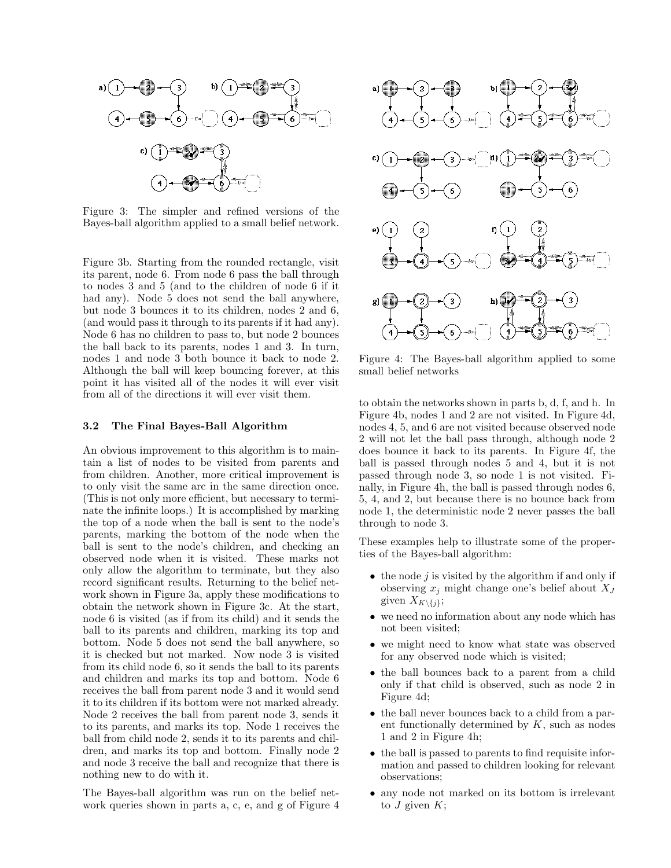

Figure 3: The simpler and refined versions of the Bayes-ball algorithm applied to a small belief network.

Figure 3b. Starting from the rounded rectangle, visit<br>its parent, node 6. From node 6 pass the ball through Figure 3b. Starting from the rounded rectangle, visit<br>its parent, node 6. From node 6 pass the ball through<br>to nodes 3 and 5 (and to the children of node 6 if it Figure 3b. Starting from the rounded rectangle, visit<br>its parent, node 6. From node 6 pass the ball through<br>to nodes 3 and 5 (and to the children of node 6 if it<br>had any). Node 5 does not send the ball anywhere its parent, node 6. From node 6 pass the ball through<br>to nodes 3 and 5 (and to the children of node 6 if it<br>had any). Node 5 does not send the ball anywhere,<br>but node 3 bounces it to its children nodes 2 and 6 to nodes 3 and 5 (and to the children of node 6 if it<br>had any). Node 5 does not send the ball anywhere,<br>but node 3 bounces it to its children, nodes 2 and 6,<br>(and would pass it through to its parents if it had any) had any). Node 5 does not send the ball anywhere,<br>but node 3 bounces it to its children, nodes 2 and 6,<br>(and would pass it through to its parents if it had any).<br>Node 6 has no children to pass to but node 2 bounces but node 3 bounces it to its children, nodes 2 and 6,<br>(and would pass it through to its parents if it had any).<br>Node 6 has no children to pass to, but node 2 bounces<br>the ball back to its parents nodes 1 and 3 In turn (and would pass it through to its parents if it had any).<br>Node 6 has no children to pass to, but node 2 bounces<br>the ball back to its parents, nodes 1 and 3. In turn,<br>nodes 1 and node 3 both bounce it back to node 2 Node 6 has no children to pass to, but node 2 bounces<br>the ball back to its parents, nodes 1 and 3. In turn,<br>nodes 1 and node 3 both bounce it back to node 2.<br>Although the ball will keep bouncing forever at this the ball back to its parents, nodes 1 and 3. In turn, nodes 1 and node 3 both bounce it back to node 2.<br>Although the ball will keep bouncing forever, at this nodes 1 and node 3 both bounce it back to node 2.<br>Although the ball will keep bouncing forever, at this<br>point it has visited all of the nodes it will ever visit<br>from all of the directions it will ever visit them Although the ball will keep bouncing forever, at point it has visited all of the nodes it will ever from all of the directions it will ever visit them. 5.2 The Final Bayes-Ball Algorithm<br>
3.2 The Final Bayes-Ball Algorithm

An obvious improvement to this algorithm is to maintain a list of nodes to be visited from parents and An obvious improvement to this algorithm is to maintain a list of nodes to be visited from parents and from children. Another, more critical improvement is to only visit the same arc in the same direction once tain a list of nodes to be visited from parents and<br>from children. Another, more critical improvement is<br>to only visit the same arc in the same direction once.<br>(This is not only more efficient, but necessary to termifrom children. Another, more critical improvement is<br>to only visit the same arc in the same direction once.<br>(This is not only more efficient, but necessary to termi-<br>nate the infinite loops) It is accomplished by marking to only visit the same arc in the same direction once.<br>(This is not only more efficient, but necessary to termi-<br>nate the infinite loops.) It is accomplished by marking<br>the top of a node when the ball is sent to the node's (This is not only more efficient, but necessary to terminate the infinite loops.) It is accomplished by marking the top of a node when the ball is sent to the node's parents marking the bottom of the node when the nate the infinite loops.) It is accomplished by marking<br>the top of a node when the ball is sent to the node's<br>parents, marking the bottom of the node when the<br>hall is sent to the node's children, and checking an the top of a node when the ball is sent to the node's<br>parents, marking the bottom of the node when the<br>ball is sent to the node's children, and checking an parents, marking the bottom of the node when the<br>ball is sent to the node's children, and checking an<br>observed node when it is visited. These marks not<br>only allow the algorithm to terminate but they also ball is sent to the node's children, and checking an observed node when it is visited. These marks not only allow the algorithm to terminate, but they also record significant results. Returning to the belief netobserved node when it is visited. These marks not<br>only allow the algorithm to terminate, but they also<br>record significant results. Returning to the belief net-<br>work shown in Figure 3a, apply these modifications to only allow the algorithm to terminate, but they also<br>record significant results. Returning to the belief net-<br>work shown in Figure 3a, apply these modifications to<br>obtain the network shown in Figure 3c. At the start record significant results. Returning to the belief network shown in Figure 3a, apply these modifications to obtain the network shown in Figure 3c. At the start, node 6 is visited (as if from its child) and it sends the work shown in Figure 3a, apply these modifications to<br>obtain the network shown in Figure 3c. At the start,<br>node 6 is visited (as if from its child) and it sends the<br>ball to its parents and children marking its top and obtain the network shown in Figure 3c. At the start,<br>node 6 is visited (as if from its child) and it sends the<br>ball to its parents and children, marking its top and<br>bottom. Node 5 does not send the ball anywhere, so node 6 is visited (as if from its child) and it sends the ball to its parents and children, marking its top and bottom. Node 5 does not send the ball anywhere, so ball to its parents and children, marking its top and<br>bottom. Node 5 does not send the ball anywhere, so<br>it is checked but not marked. Now node 3 is visited<br>from its child node 6 so it sends the ball to its parents bottom. Node 5 does not send the ball anywhere, so<br>it is checked but not marked. Now node 3 is visited<br>from its child node 6, so it sends the ball to its parents<br>and children and marks its top and bottom. Node 6 it is checked but not marked. Now node 3 is visited<br>from its child node 6, so it sends the ball to its parents<br>and children and marks its top and bottom. Node 6<br>receives the ball from parent node 3 and it would send from its child node 6, so it sends the ball to its parents<br>and children and marks its top and bottom. Node 6<br>receives the ball from parent node 3 and it would send<br>it to its children if its bottom were not marked already and children and marks its top and bottom. Node 6 receives the ball from parent node 3 and it would send it to its children if its bottom were not marked already. receives the ball from parent node 3 and it would send<br>it to its children if its bottom were not marked already.<br>Node 2 receives the ball from parent node 3, sends it<br>to its parents, and marks its top. Node 1 receives the Node 2 receives the ball from parent node 3, sends it Node 2 receives the ball from parent node 3, sends it<br>to its parents, and marks its top. Node 1 receives the<br>ball from child node 2, sends it to its parents and chil-<br>dren, and marks its top and bottom. Finally node 2 to its parents, and marks its top. Node 1 receives the ball from child node 2, sends it to its parents and children, and marks its top and bottom. Finally node 2 and node 3 receive the ball and recognize that there is ball from child node 2, sends it to its parents and children, and marks its top and bottom. Finally node 2 and node 3 receive the ball and recognize that there is nothing new to do with it. dren, and marks its top and bottom. Finally node 2 and node 3 receive the ball and recognize that there is nothing new to do with it.

The Bayes-ball algorithm was run on the belief network queries shown in parts a, c, e, and g of Figure 4



Figure 4: The Bayes-b<br>small belief networks

to obtain the networks shown in parts b, d, f, and h. In Figure 4b, nodes 1 and 2 are not visited. In Figure 4d to obtain the networks shown in parts b, d, f, and h. In<br>Figure 4b, nodes 1 and 2 are not visited. In Figure 4d,<br>nodes 4–5 and 6 are not visited because observed node to obtain the networks shown in parts b, d, f, and h. In<br>Figure 4b, nodes 1 and 2 are not visited. In Figure 4d,<br>nodes 4, 5, and 6 are not visited because observed node<br>2 will not let the ball pass through although node 2 Figure 4b, nodes 1 and 2 are not visited. In Figure 4d, nodes 4, 5, and 6 are not visited because observed node 2 will not let the ball pass through, although node 2 does bounce it back to its parents. In Figure 4f, the 2 will not let the ball pass through, although node 2 does bounce it back to its parents. In Figure 4f, the ball is passed through nodes 5 and 4, but it is not passed through node 3 so node 1 is not visited Fidoes bounce it back to its parents. In Figure 4f, the ball is passed through nodes 5 and 4, but it is not passed through node 3, so node 1 is not visited. Fi-<br>nally in Figure 4h, the ball is passed through nodes 6 ball is passed through nodes 5 and 4, but it is not passed through node 3, so node 1 is not visited. Finally, in Figure 4h, the ball is passed through nodes 6,  $5\,4\,$  and 2 but because there is no bounce back from passed through node 3, so node 1 is not visited. Finally, in Figure 4h, the ball is passed through nodes 6, 5, 4, and 2, but because there is no bounce back from node 1 the deterministic node 2 never passes the ball nally, in Figure 4h, the ball is passed through nodes 6, 5, 4, and 2, but because there is no bounce back from node 1, the deterministic node 2 never passes the ball through to node 3. 5, 4, and 2, but because there is no bounce back from

These examples help to illustrate some of the proper-<br>These examples help to illustrate some of the proper-<br>ties of the Baves-ball algorithm. these examples help to illustrate<br>ties of the Bayes-ball algorithm: ties of the Bayes-ball algorithm:<br>• the node  $j$  is visited by the algorithm if and only if

- observing  $x_j$  might change one's belief about  $X_j$ given  $X_{K\setminus\{j\}}$ ; boserving  $x_j$  might change one's benefit about  $\overline{X}_J$ <br>given  $X_{K\setminus\{j\}}$ ;<br>we need no information about any node which has<br>not been visited:
- given  $X_{K\setminus\{j\}}$ ;<br>we need no informa<br>not been visited; • we need no information about any node which has<br>not been visited;<br>• we might need to know what state was observed<br>for any observed node which is visited.
- mot been visited;<br>we might need to know what state was<br>for any observed node which is visited;
- we might need to know what state was observed<br>for any observed node which is visited;<br>• the ball bounces back to a parent from a child<br>only if that child is observed such as node 2 in for any observed node which is visited;<br>the ball bounces back to a parent from a child<br>only if that child is observed, such as node 2 in<br>Figure 4d. the ball bour<br>only if that<br>Figure 4d;<br>the left • only if that child is observed, such as node 2 in<br>Figure 4d;<br>• the ball never bounces back to a child from a par-<br>ent functionally determined by  $K$  such as nodes
- Figure 4d;<br>the ball never bounces back to a child from a par-<br>ent functionally determined by  $K$ , such as nodes<br>1 and 2 in Figure 4h. the ball never bounces b<br>ent functionally determi<br>1 and 2 in Figure 4h;<br>1 and 1 in Figure 4h; • ent functionally determined by  $A$ , such as nodes<br>
1 and 2 in Figure 4h;<br>
• the ball is passed to parents to find requisite infor-<br>
mation and passed to children looking for relevant.
- I and 2 in Figure 4n;<br>the ball is passed to parents to find requisite infor-<br>mation and passed to children looking for relevant<br>observations: observations; mation and passed to children looking for relevant<br>between is irrelevant  $\bullet$  any node not marked on its bottom is irrelevant
- to  $J$  given  $K$ ;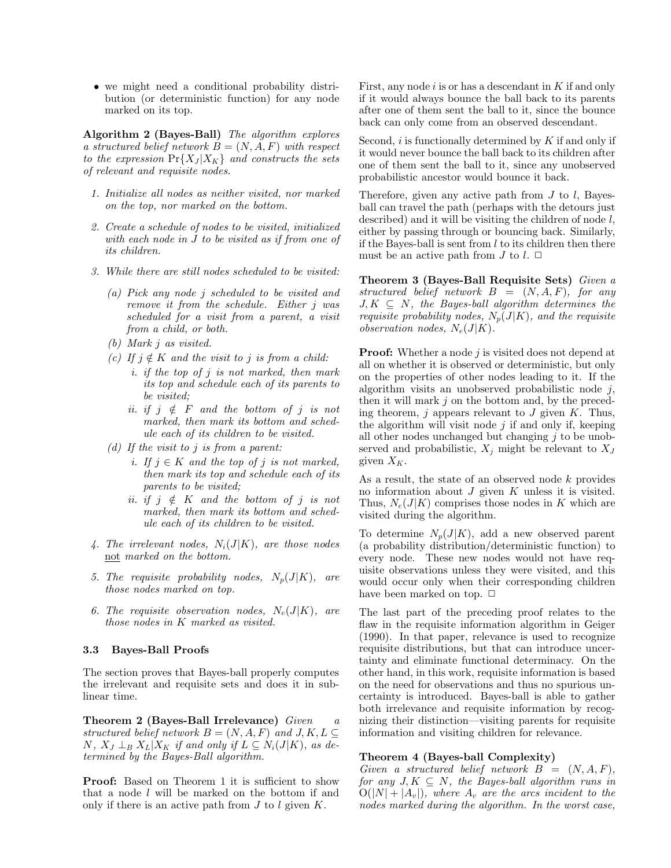• we might need a conditional probability distribution (or deterministic function) for any node we might need a conditional probability distribution (or deterministic function) for any node marked on its top we might need a conduction (or determined on its top.

marked on its top.<br> **Algorithm 2 (Bayes-Ball)** The algorithm explores<br>
a structured belief network  $B = (NA \ F)$  with respect **Algorithm 2 (Bayes-Ball)** The algorithm explores<br>a structured belief network  $B = (N, A, F)$  with respect<br>to the expression  $Pr\{X_I | X_K\}$  and constructs the sets **Algorithm 2 (Bayes-Ball)** The algorithm explores<br>a structured belief network  $B = (N, A, F)$  with respect<br>to the expression  $Pr{X_J | X_K}$  and constructs the sets<br>of relevant and requisite nodes a structured belief network  $B = (N, A, F)$  with respect<br>to the expression  $Pr{X_J|X_K}$  and constructs the sets<br>of relevant and requisite nodes.

- more the requisite in the set of the set of the control of the top and the top and the post on the bottom of the bottom on the top and the bottom.  $\emph{Initialize all nodes as neither visited, no on the top, nor marked on the bottom.}$ on the top, nor marked on the bottom.<br>2. Create a schedule of nodes to be visited, initialized
- Create a schedule of nodes to be visited, initialized<br>with each node in J to be visited as if from one of<br>its children  $Create a \, scheme \\ with \, each \, nod \\ its \, children.$ 3. While there are still nodes scheduled to be visited:
- 
- While there are still nodes scheduled to be visited:<br>
(a) Pick any node j scheduled to be visited and<br>
remove it from the schedule Fither i was Pick any node j scheduled to be visited and<br>remove it from the schedule. Either j was<br>scheduled for a visit from a parent a visit Pick any node j scheduled to be visited and<br>remove it from the schedule. Either j was<br>scheduled for a visit from a parent, a visit<br>from a child or both remove it from the schedule. Either  $j$  was<br>scheduled for a visit from a parent, a visit<br>from a child, or both.
	- (b) Mark <sup>j</sup> as visited.
	- (c) If  $j \notin K$  and the visit to j is from a child:
- $if \ j \notin K$  and the visit to j is from a child:<br>i. if the top of j is not marked, then mark<br>its top and schedule each of its parents to  $\notin$  K and the visit to j is from a child:<br>if the top of j is not marked, then mark<br>its top and schedule each of its parents to<br>be visited. if the top  $o_i$ <br>its top and  $\ddot{o}$ <br>be visited;<br>if  $\ddot{o}$   $\neq$   $F$ its top and schedule each of its parents to<br>be visited;<br>ii. if  $j \notin F$  and the bottom of j is not<br>marked then mark its bottom and sched
	- be visited;<br>if  $j \notin F$  and the bottom of  $j$  is not<br>marked, then mark its bottom and sched-<br>ule each of its children to be visited marked, then mark its bottom and sched-<br>ule each of its children to be visited.
	- (d) If the visit to j is from a parent:
- the each of us chuaren to be visited.<br>
If the visit to j is from a parent:<br>
i. If j ∈ K and the top of j is not marked,<br>
then mark its top and schedule each of its the visit to j is from a parent:<br>If  $j \in K$  and the top of j is not marked,<br>then mark its top and schedule each of its<br>narents to be visited. If  $j \in K$  and the top  $\alpha$ <br>then mark its top and  $\alpha$ <br>parents to be visited;<br>if  $j \notin K$  and the b then mark its top and schedule each of its<br>parents to be visited;<br>ii. if  $j \notin K$  and the bottom of j is not<br>marked then mark its bottom and sched
	- parents to be visited;<br>if  $j \notin K$  and the bottom of  $j$  is not<br>marked, then mark its bottom and sched-<br>ule each of its children to be visited if  $j \notin K$  and the bottom of  $j$  is<br>marked, then mark its bottom and sch<br>ule each of its children to be visited.
- quantity is used.<br>4. The irrelevant nodes,  $N_i(J|K)$ , are those nodes<br>not marked on the bottom The irrelevant nodes,  $N_i(J|$ <br><u>not</u> marked on the bottom.
- <u>not</u> marked on the bottom.<br>5. The requisite probability nodes,  $N_p(J|K)$ , are<br>those nodes marked on ton  $\begin{minipage}{.4\linewidth} The requisite probability~no~those~nodes~marked~on~top. \end{minipage}$
- those nodes marked on top.<br>6. The requisite observation nodes,  $N_e(J|K)$ , are<br>those nodes in K marked as visited  $\begin{minipage}{.4\linewidth} The requisite observation nodes, $N_e$ those nodes in $K$ marked as visited. \end{minipage}$ those nodes in K marked as visited.<br> **3.3 Bayes-Ball Proofs**

**3.3 Bayes-Ball Proofs**<br>The section proves that Bayes-ball properly computes<br>the irrelevant and requisite sets and does it in sub-The section proves that Bayes-ball properly computes<br>the irrelevant and requisite sets and does it in sub-<br>linear time The section p<br>the irrelevant<br>linear time.

structured belief network  $B = (N, A, F)$  and  $J, K, L \subseteq$ **Theorem 2 (Bayes-Ball Irrelevance)** Given a<br>structured belief network  $B = (N, A, F)$  and  $J, K, L \subseteq N$ ,  $X_J \perp_B X_L | X_K$  if and only if  $L \subseteq N_i(J|K)$ , as de-<br>termined by the Bayes-Ball algorithm structured belief network  $B = (N, A, F)$ <br>N,  $X_J \perp_B X_L | X_K$  if and only if  $L \subseteq N_i$ <br>termined by the Bayes-Ball algorithm.

termined by the Bayes-Ball algorithm.<br> **Proof:** Based on Theorem 1 it is sufficient to show  $f$ <br>
that a node *l* will be marked on the bottom if and  $f$ **Proof:** Based on Theorem 1 it is sufficient to show that a node l will be marked on the bottom if and only if there is an active path from  $J$  to  $l$  given  $K$ that a node  $l$  will be marked on the bottom if and only if there is an active path from  $J$  to  $l$  given  $K$ .

First, any node *i* is or has a descendant in  $K$  if and only if it would always bounce the ball back to its parents First, any node  $i$  is or has a descendant in  $K$  if and only if it would always bounce the ball back to its parents after one of them sent the ball to it, since the bounce First, any node  $i$  is or has a descendant in  $K$  if and only<br>if it would always bounce the ball back to its parents<br>after one of them sent the ball to it, since the bounce<br>back can only come from an observed descendant if it would always bounce the ball back to its parent after one of them sent the ball to it, since the bound<br>back can only come from an observed descendant.

second, i is functionally determined by  $K$  if and only if it would never bounce the ball back to its children after Second,  $i$  is functionally determined by  $K$  if and only if it would never bounce the ball back to its children after one of them sent the ball to it, since any unobserved Second, *i* is functionally determined by  $K$  if and only if<br>it would never bounce the ball back to its children after<br>one of them sent the ball to it, since any unobserved<br>probabilistic ancestor would bounce it back it would never bounce the ball back to its children after<br>one of them sent the ball to it, since any unobserved<br>probabilistic ancestor would bounce it back.

Therefore, given any active path from  $J$  to  $l$ , Bayesball can travel the path (perhaps with the detours just described) and it will be visiting the children of node  $l$ . Therefore, given any active path from  $J$  to  $l$ , Bayes-<br>ball can travel the path (perhaps with the detours just<br>described) and it will be visiting the children of node  $l$ ,<br>either by passing through or bouncing back. Sim described) and it will be visiting the children of node  $l$ ,<br>either by passing through or bouncing back. Similarly,<br>if the Bayes-ball is sent from  $l$  to its children then there<br>must be an active path from  $l$  to  $l \Box$ if the Bayes-ball is sent from  $l$  to its children then there must be an active path from  $J$  to  $l$ .  $\Box$ 

Theorem 3 (Bayes-Ball Requisite Sets) Given a structured belief network  $B = (N, A, F)$ , for any  $J, K \subseteq N$ , the Bayes-ball algorithm determines the structured belief network  $B = (N, A, F)$ , for any<br>  $J, K \subseteq N$ , the Bayes-ball algorithm determines the<br>
requisite probability nodes,  $N_p(J|K)$ , and the requisite<br>
observation nodes  $N_r(J|K)$  $J, K \subseteq N$ , the Bayes-ball alg<br>requisite probability nodes,  $N_p(\text{observation nodes}, N_e(J|K)).$ 

observation nodes,  $N_e(J|K)$ .<br>**Proof:** Whether a node *j* is visited does not depend at all on whether it is observed or deterministic but only **Proof:** Whether a node  $j$  is visited does not depend at all on whether it is observed or deterministic, but only on the properties of other nodes leading to it. If the all on whether it is observed or deterministic, but only on the properties of other nodes leading to it. If the all on whether it is observed or deterministic, but only<br>on the properties of other nodes leading to it. If the<br>algorithm visits an unobserved probabilistic node j,<br>then it will mark j on the bottom and, by the preced-<br>in algorithm visits an unobserved probabilistic node  $j$ ,<br>then it will mark  $j$  on the bottom and, by the preced-<br>ing theorem,  $j$  appears relevant to  $J$  given  $K$ . Thus,<br>the algorithm will visit node  $j$  if and only if kee then it will mark j on the bottom and, by the preceding theorem, j appears relevant to J given  $K$ . Thus, the algorithm will visit node j if and only if, keeping ing theorem, j appears relevant to J given K. Thus,<br>the algorithm will visit node j if and only if, keeping<br>all other nodes unchanged but changing j to be unob-<br>served and probabilistic  $X$  might be relevant to  $X$ the algorithm will visit node *j* if and only if, keeping all other nodes unchanged but changing *j* to be unobserved and probabilistic,  $X_j$  might be relevant to  $X_J$  given  $X_K$ 

given  $X_K$ .<br>
As a result, the state of an observed node k provides<br>
no information about J given K unless it is visited As a result, the state of an observed node k provides<br>no information about J given K unless it is visited.<br>Thus  $N_{\text{e}}(J|K)$  comprises those nodes in K which are As a result, the state of an observed node k provides<br>no information about J given K unless it is visited.<br>Thus,  $N_e(J|K)$  comprises those nodes in K which are<br>visited during the algorithm no information about  $J$  given<br>Thus,  $N_e(J|K)$  comprises those<br>visited during the algorithm.

Thus,  $N_e(\sigma | K)$  completes those holds in A which are<br>visited during the algorithm.<br>To determine  $N_p(J|K)$ , add a new observed parent<br>(a probability distribution/deterministic function) to To determine  $N_p(J|K)$ , add a new observed parent<br>(a probability distribution/deterministic function) to<br>every node. These new nodes would not have req-To determine  $N_p(J|K)$ , add a new observed parent<br>(a probability distribution/deterministic function) to<br>every node. These new nodes would not have req-<br>uisite observations unless they were visited and this (a probability distribution/deterministic function) to<br>every node. These new nodes would not have req-<br>uisite observations unless they were visited, and this<br>would occur only when their corresponding children every node. These new nodes would not have requisite observations unless they were visited, and this would occur only when their corresponding children have been marked on top  $\Box$ uisite observations unless they wer<br>would occur only when their corre<br>have been marked on top.  $\square$ 

linear time.<br>
introduced. Bayes-ball is able to gather<br>
theorem 2 (Bayes-Ball Irrelevance) Given a nizing their distinction—visiting parents for requisite would occur only when their corresponding emitted<br>have been marked on top.  $\square$ <br>The last part of the preceding proof relates to the<br>flaw in the requisite information algorithm in Geiger Find the receding proof relates to the<br>flaw in the requisite information algorithm in Geiger<br>(1990) In that paper relevance is used to recognize The last part of the preceding proof relates to the flaw in the requisite information algorithm in Geiger (1990). In that paper, relevance is used to recognize requisite distributions, but that can introduce uncerflaw in the requisite information algorithm in Geiger (1990). In that paper, relevance is used to recognize requisite distributions, but that can introduce uncer- $(1990)$ . In that paper, relevance is used to recognize requisite distributions, but that can introduce uncertainty and eliminate functional determinacy. On the other hand in this work requisite information is based requisite distributions, but that can introduce uncertainty and eliminate functional determinacy. On the other hand, in this work, requisite information is based on the need for observations and thus no spurious untainty and eliminate functional determinacy. On the other hand, in this work, requisite information is based<br>on the need for observations and thus no spurious uncertainty is introduced. Bayes-ball is able to gather other hand, in this work, requisite information is based<br>on the need for observations and thus no spurious un-<br>certainty is introduced. Bayes-ball is able to gather<br>both irrelevance and requisite information by recogon the need for observations and thus no spurious uncertainty is introduced. Bayes-ball is able to gather both irrelevance and requisite information by recognizing their distinction—visiting parents for requisite certainty is introduced. Bayes-ball is able to gather information and visiting children for relevance.

### Theorem 4 (Bayes-ball Complexity)

Given a structured belief network  $B = (N, A, F)$ , **Theorem 4 (Bayes-ball Complexity)**<br>Given a structured belief network  $B = (N, A, F)$ ,<br>for any  $J, K \subseteq N$ , the Bayes-ball algorithm runs in<br> $O(|N|+|A|)$  where  $A$ , are the arcs incident to the Given a structured belief network  $B = (N, A, F)$ ,<br>for any  $J, K \subseteq N$ , the Bayes-ball algorithm runs in<br> $O(|N| + |A_v|)$ , where  $A_v$  are the arcs incident to the<br>nodes marked during the algorithm. In the worst case  $O(|N| + |A_v|)$ , where  $A_v$  are the arcs incident to the nodes marked during the algorithm. In the worst case,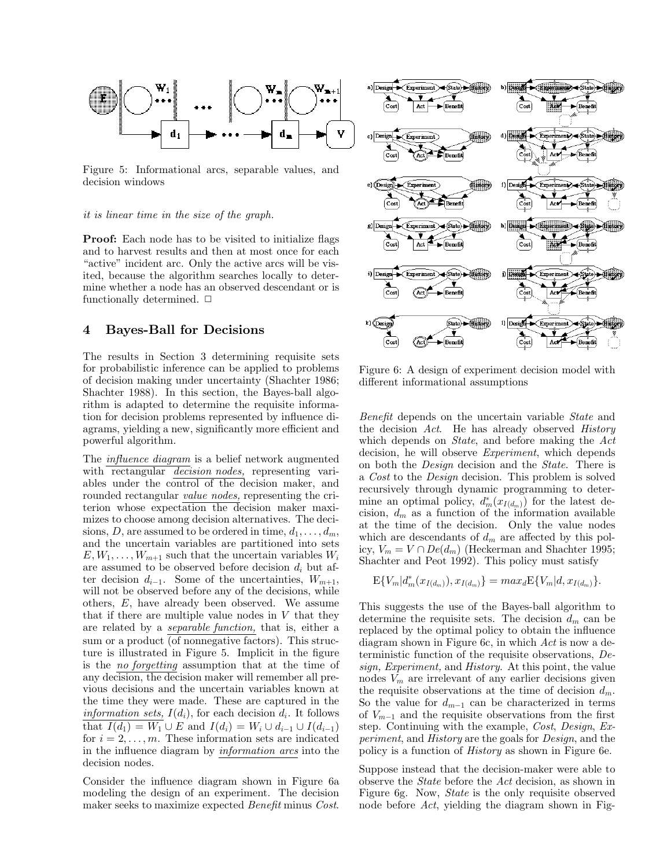

Figure 5: Informational arcs, separable values, and Figure 5: Informat<br>decision windows decision windows<br>it is linear time in the size of the graph.

it is linear time in the size of the graph.<br>**Proof:** Each node has to be visited to initialize flags<br>and to harvest results and then at most once for each **Proof:** Each node has to be visited to initialize flags and to harvest results and then at most once for each "active" incident arc. Only the active arcs will be vis-**Proof:** Each node has to be visited to initialize flags and to harvest results and then at most once for each "active" incident arc. Only the active arcs will be vis-<br>ited because the algorithm searches locally to deterand to harvest results and then at most once for each "active" incident arc. Only the active arcs will be visited, because the algorithm searches locally to deter-"active" incident arc. Only the active arcs will be visited, because the algorithm searches locally to determine whether a node has an observed descendant or is functionally determined  $\Box$ ited, because the algorithm search<br>mine whether a node has an obser<br>functionally determined.  $\Box$ functionally determined.  $\Box$ <br>**4** Bayes-Ball for Decisions

**The results in Section 3 determining requisite sets**<br>The results in Section 3 determining requisite sets<br>for probabilistic inference can be applied to problems The results in Section 3 determining requisite sets<br>for probabilistic inference can be applied to problems<br>of decision making under uncertainty (Shachter 1986; The results in Section 3 determining requisite sets<br>for probabilistic inference can be applied to problems<br>of decision making under uncertainty (Shachter 1986;<br>Shachter 1988) In this section the Baves-ball algofor probabilistic inference can be applied to problems<br>of decision making under uncertainty (Shachter 1986;<br>Shachter 1988). In this section, the Bayes-ball algo-<br>rithm is adapted to determine the requisite informaof decision making under uncertainty (Shachter 1986;<br>Shachter 1988). In this section, the Bayes-ball algo-<br>rithm is adapted to determine the requisite informa-<br>tion for decision problems represented by influence di-Shachter 1988). In this section, the Bayes-ball algo-<br>rithm is adapted to determine the requisite informa-<br>tion for decision problems represented by influence di-<br>agrams vielding a new significantly more efficient and rithm is adapted to determine the requisite information for decision problems represented by influence diagrams, yielding a new, significantly more efficient and nowerful algorithm agrams, yielding a new, significantly more efficient and powerful algorithm.

The *influence diagram* is a belief network augmented with rectangular *decision nodes*, representing vari-The *influence diagram* is a belief network augmented<br>with rectangular *decision nodes*, representing variables under the control of the decision maker, and<br>rounded rectangular *value nodes* representing the criwith rectangular *decision nodes*, representing variables under the control of the decision maker, and rounded rectangular *value nodes*, representing the criterion whose expectation the decision maker maxiables under the control of the decision maker, and<br>rounded rectangular *value nodes*, representing the cri-<br>terion whose expectation the decision maker maxi-<br>mizes to choose among decision alternatives. The decirounded rectangular <u>value nodes</u>, representing the criterion whose expectation the decision maker maximizes to choose among decision alternatives. The decisions  $D$  are assumed to be ordered in time  $d_1$ terion whose expectation the decision maker maximizes to choose among decision alternatives. The decisions, D, are assumed to be ordered in time,  $d_1, \ldots, d_m$ , and the uncertain variables are partitioned into sets  $F(W_1, \$ sions, D, are assumed to be ordered in time,  $d_1, \ldots, d_m$ ,<br>and the uncertain variables are partitioned into sets<br> $E, W_1, \ldots, W_{m+1}$  such that the uncertain variables  $W_i$ <br>are assumed to be observed before decision  $d_i$  bu and the uncertain variables are partitioned into sets  $E, W_1, \ldots, W_{m+1}$  such that the uncertain variables  $W_i$  are assumed to be observed before decision  $d_i$  but af-<br>ter decision  $d_{i+1}$ . Some of the uncertainties  $W_{n$  $E, W_1, \ldots, W_{m+1}$  such that the uncertain variables  $W_i$ <br>are assumed to be observed before decision  $d_i$  but af-<br>ter decision  $d_{i-1}$ . Some of the uncertainties,  $W_{m+1}$ ,<br>will not be observed before any of the decision ter decision  $d_{i-1}$ . Some of the uncertainties,  $W_{m+1}$ , will not be observed before any of the decisions, while others,  $E$ , have already been observed. We assume that if there are multiple value nodes in  $V$  that the will not be observed before any of the decisions, while<br>others,  $E$ , have already been observed. We assume<br>that if there are multiple value nodes in  $V$  that they<br>are related by a *separable function*, that is either a others,  $E$ , have already been observed. We assume<br>that if there are multiple value nodes in  $V$  that they<br>are related by a *separable function*, that is, either a<br>sum or a product (of poppositive factors). This struc that if there are multiple value nodes in  $V$  that they are related by a *separable function*, that is, either a sum or a product (of nonnegative factors). This struc-<br>ture is illustrated in Figure 5. Implicit in the figu are related by a *separable function*, that is, either a<br>sum or a product (of nonnegative factors). This struc-<br>ture is illustrated in Figure 5. Implicit in the figure<br>is the *no forgetting* assumption that at the time of sum or a product (of nonnegative factors). This structure is illustrated in Figure 5. Implicit in the figure is the *no forgetting* assumption that at the time of any decision the decision maker will remember all preture is illustrated in Figure 5. Implicit in the figure<br>is the *no forgetting* assumption that at the time of<br>any decision, the decision maker will remember all previous decisions and the uncertain variables known at any decision, the decision maker will remember all previous decisions and the uncertain variables known at the time they were made. These are captured in the *information sets.*  $I(d_i)$ , for each decision  $d_i$ . It follows vious decisions and the uncertain variables known at<br>the time they were made. These are captured in the<br>*information sets,*  $I(d_i)$ , for each decision  $d_i$ . It follows<br>that  $I(d_i) = W_i + d_i$  and  $I(d_i) = W_i + d_i$  and  $I(d_i)$ . the time they were made. These are captured in the<br> *information sets,*  $I(d_i)$ , for each decision  $d_i$ . It follows<br>
that  $I(d_1) = W_1 \cup E$  and  $I(d_i) = W_i \cup d_{i-1} \cup I(d_{i-1})$ <br>
for  $i = 2$  m. These information sets are indicated *information sets,*  $I(d_i)$ , for each decision  $d_i$ . It follows<br>that  $I(d_1) = W_1 \cup E$  and  $I(d_i) = W_i \cup d_{i-1} \cup I(d_{i-1})$ <br>for  $i = 2, ..., m$ . These information sets are indicated<br>in the influence diagram by *information arcs* into the that  $I(d_1) = W_1 \cup E$  and  $I(d_i) = W_i \cup d_{i-1} \cup I(d_{i-1})$ <br>for  $i = 2, ..., m$ . These information sets are indicated<br>in the influence diagram by *information arcs* into the<br>decision nodes for  $i = 2, ..., m$ . These information sets are indicated<br>in the influence diagram by *information arcs* into the<br>decision nodes.

decision nodes.<br>Consider the influence diagram shown in Figure 6a<br>modeling the design of an experiment. The decision Consider the influence diagram shown in Figure 6a<br>modeling the design of an experiment. The decision<br>maker seeks to maximize expected *Benefit* minus *Cost* modeling the design of an experiment. The decision maker seeks to maximize expected *Benefit* minus *Cost*.



 $F$ igure 6: A design of experiment decision model with<br>different informational assumptions Figure 6: A design of experiment decises<br>different informational assumptions

Benefit depends on the uncertain variable State and *Benefit* depends on the uncertain variable *State* and the decision *Act*. He has already observed *History* which depends on *State*, and before making the *Act Benefit* depends on the uncertain variable *State* and the decision *Act*. He has already observed *History* which depends on *State*, and before making the *Act* decision be will observe *Experiment* which depends the decision *Act*. He has already observed *History* which depends on *State*, and before making the *Act* decision, he will observe *Experiment*, which depends on both the *Design* decision and the *State* There is which depends on *State*, and before making the  $Act$  decision, he will observe *Experiment*, which depends on both the *Design* decision and the *State*. There is a *Cost* to the *Design* decision This problem is solved decision, he will observe *Experiment*, which depends<br>on both the *Design* decision and the *State*. There is<br>a *Cost* to the *Design* decision. This problem is solved<br>recursively through dynamic programming to deteron both the *Design* decision and the *State*. There is a *Cost* to the *Design* decision. This problem is solved recursively through dynamic programming to detera *Cost* to the *Design* decision. This problem is solved<br>recursively through dynamic programming to deter-<br>mine an optimal policy,  $d_m^*(x_{I(d_m)})$  for the latest de-<br>cision  $d_{-}$  as a function of the information available recursively through dynamic programming to deter-<br>mine an optimal policy,  $d_m^*(x_{I(d_m)})$  for the latest de-<br>cision,  $d_m$  as a function of the information available<br>at the time of the decision. Only the value nodes mine an optimal policy,  $d_m^*(x_{I(d_m)})$  for the latest decision,  $d_m$  as a function of the information available at the time of the decision. Only the value nodes which are descendants of  $d_m$  are affected by this polcision,  $d_m$  as a function of the information available<br>at the time of the decision. Only the value nodes<br>which are descendants of  $d_m$  are affected by this polat the time of the decision. Only the value nodes<br>which are descendants of  $d_m$  are affected by this pol-<br>icy,  $V_m = V \cap De(d_m)$  (Heckerman and Shachter 1995;<br>Shachter and Peot 1992) This policy must satisfy which are descendants of  $d_m$  are affected by this policy,  $V_m = V \cap De(d_m)$  (Heckerman and Shachter 1995; Shachter and Peot 1992). This policy must satisfy Shachter and Peot 1992). This policy must satisfy

$$
\mathrm{E}\{V_m|d^*_m(x_{I(d_m)}), x_{I(d_m)}\}=max_d\mathrm{E}\{V_m|d, x_{I(d_m)}\}.
$$

 $E\{V_m|d_m^*(x_{I(d_m)}), x_{I(d_m)}\} = max_d E\{V_m|d, x_{I(d_m)}\}.$ <br>This suggests the use of the Bayes-ball algorithm to determine the requisite sets. The decision  $d_m$  can be This suggests the use of the Bayes-ball algorithm to determine the requisite sets. The decision  $d_m$  can be replaced by the optimal policy to obtain the influence This suggests the use of the Bayes-ball algorithm to determine the requisite sets. The decision  $d_m$  can be replaced by the optimal policy to obtain the influence diagram shown in Figure 6c in which Act is now a dedetermine the requisite sets. The decision  $d_m$  can be replaced by the optimal policy to obtain the influence diagram shown in Figure 6c, in which Act is now a dereplaced by the optimal policy to obtain the influence<br>diagram shown in Figure 6c, in which  $Act$  is now a de-<br>terministic function of the requisite observations,  $De-$ <br>sian Experiment and History. At this point, the value diagram shown in Figure 6c, in which  $Act$  is now a deterministic function of the requisite observations,  $Design$ ,  $Experiment$ , and  $History$ . At this point, the value nodes  $V_{\infty}$  are irrelevant of any earlier decisions given terministic function of the requisite observations, *Design, Experiment*, and *History*. At this point, the value nodes  $V_m$  are irrelevant of any earlier decisions given the requisite observations at the time of decision sign, Experiment, and History. At this point, the value<br>nodes  $V_m$  are irrelevant of any earlier decisions given<br>the requisite observations at the time of decision  $d_m$ .<br>So the value for  $d_{m-1}$  can be characterized in t the requisite observations at the time of decision  $d_m$ .<br>So the value for  $d_{m-1}$  can be characterized in terms of  $V_{m-1}$  and the requisite observations from the first step. Continuing with the example *Cost Design Ex* So the value for  $d_{m-1}$  can be characterized in terms<br>of  $V_{m-1}$  and the requisite observations from the first<br>step. Continuing with the example, *Cost*, Design, Ex-<br>periment and History are the goals for Design, and t of  $V_{m-1}$  and the requisite observations from the first<br>step. Continuing with the example, *Cost*, *Design*, *Ex-*<br>*periment,* and *History* are the goals for *Design*, and the<br>policy is a function of *History* as shown step. Continuing with the example, Cost, Design, Ex-

perment, and *History* are the goals for *Design*, and the<br>policy is a function of *History* as shown in Figure 6e.<br>Suppose instead that the decision-maker were able to<br>observe the *State* before the *Act* decision as show Suppose instead that the decision-maker were able to<br>observe the *State* before the *Act* decision, as shown in<br>Figure 6g. Now, *State* is the only requisite observed Suppose instead that the decision-maker were able to observe the *State* before the *Act* decision, as shown in Figure 6g. Now, *State* is the only requisite observed node before *Act* vielding the diagram shown in Fig. observe the *State* before the Act decision, as shown in Figure 6g. Now, *State* is the only requisite observed node before Act, yielding the diagram shown in Fig-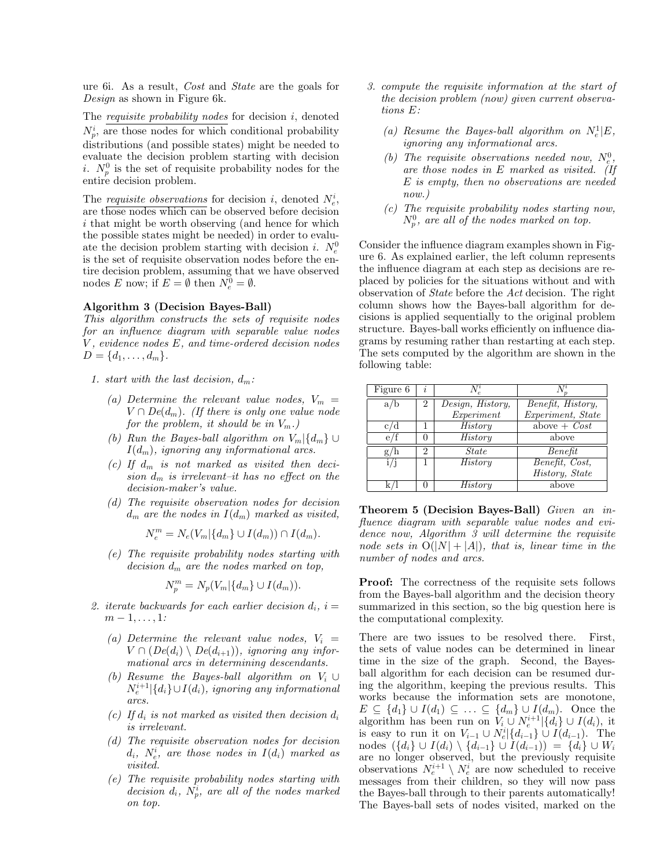ure 6i. As a result, *Cost* and *State* are the goals for *Design* as shown in Figure 6k ure 6i. As a result,  $Cost$  and  $St$ <br>*Design* as shown in Figure 6k. Design as shown in Figure 6k.<br>The *requisite probability nodes* for decision  $i$ , denoted

The *requisite probability nodes* for decision *i*, denoted  $N_p^i$ , are those nodes for which conditional probability distributions (and possible states) might be pooded to The *requisite probability nodes* for decision *i*, denoted  $N_p^i$ , are those nodes for which conditional probability distributions (and possible states) might be needed to evaluate the decision problem starting with deci distributions (and possible states) might be needed to evaluate the decision problem starting with decision distributions (and possible states) might be needed to evaluate the decision problem starting with decision *i*.  $N_p^0$  is the set of requisite probability nodes for the entire decision problem evaluate the decision pro<br> *i*.  $N_p^0$  is the set of requisi-<br>
entire decision problem.

 $T_{np}$  is the set of requisite probability holds for the<br>entire decision problem.<br>The *requisite observations* for decision *i*, denoted  $N_e^i$ ,<br>are those nodes which can be observed before decision The *requisite observations* for decision *i*, denoted  $N_e^i$ ,<br>are those nodes which can be observed before decision<br>*i* that might be worth observing (and hence for which The *requisite observations* for decision *i*, denoted  $N_e^i$ , are those nodes which can be observed before decision *i* that might be worth observing (and hence for which the possible states might be needed) in order to are those nodes which can be observed before decision<br>i that might be worth observing (and hence for which<br>the possible states might be needed) in order to evalu-<br>ate the decision problem starting with decision  $i$ .  $N^0$ i that might be worth observing (and hence for which<br>the possible states might be needed) in order to evalu-<br>ate the decision problem starting with decision i.  $N_e^0$ <br>is the set of requisite observation nodes before the e the possible states might be needed) in order to evaluate the decision problem starting with decision  $i$ .  $N_e^0$  is the set of requisite observation nodes before the entire decision problem assuming that we have observed ate the decision problem starting with decision *i*.  $N_e^0$  is the set of requisite observation nodes before the entire decision problem, assuming that we have observed nodes  $E$  now: if  $E = \emptyset$  then  $N^0 = \emptyset$ is the set of requisite observation i<br>tire decision problem, assuming then<br>nodes  $E$  now; if  $E = \emptyset$  then  $N_e^0 =$ nodes E now; if  $E = \emptyset$  then  $N_e^0 = \emptyset$ .<br> **Algorithm 3 (Decision Bayes-Ball)**<br> *This algorithm constructs the sets of rem* 

Algorithm 3 (Decision Bayes-Ball)<br>This algorithm constructs the sets of requisite nodes **Algorithm 3 (Decision Bayes-Ball)**<br>*This algorithm constructs the sets of requisite nodes*<br>*for an influence diagram with separable value nodes*<br>*V evidence nodes*  $F$  *and time-ordered decision nodes* This algorithm constructs the sets of requisite nodes<br>for an influence diagram with separable value nodes<br>V, evidence nodes E, and time-ordered decision nodes<br> $D = \{d_1, \ldots, d_m\}$ for an influence die<br>V, evidence nodes E<br> $D = \{d_1, \ldots, d_m\}.$  $D = \{d_1, \ldots, d_m\}.$ <br>1. start with the last decision,  $d_m$ :

- - (a) Determine the relevant value nodes,  $V_m =$ Determine the relevant value nodes,  $V_m = V \cap De(d_m)$ . (If there is only one value node for the problem it should be in  $V_m$ ) Determine the relevant value nodes,<br> $V \cap De(d_m)$ . (If there is only one value<br>for the problem, it should be in  $V_m$ .)<br>Para the Bayes hell election on  $V_a$ .
	- $V \cap De(d_m)$ . (*If there is only one value node<br>for the problem, it should be in*  $V_m$ .)<br>(b) Run the Bayes-ball algorithm on  $V_m | \{d_m\} \cup$ <br> $I(d_m)$ , ignoring any informational arcs.<br>(c) If  $d_m$  is not marked as visited then de (b) Run the Bayes-ball algorithm on  $V_m \setminus \{d_m\} \cup$ <br>  $I(d_m)$ , ignoring any informational arcs.<br>
	(c) If  $d_m$  is not marked as visited then deci-<br>
	sion  $d_m$  is irrelevant-it has no effect on the
	- $I(d_m)$ , ignoring any informational arcs.<br>If  $d_m$  is not marked as visited then decision  $d_m$  is irrelevant–it has no effect on the<br>decision-maker's value If  $d_m$  is not marked as<br>sion  $d_m$  is irrelevant-it h<br>decision-maker's value.<br>The requisite observation (d)  $d_m$  is irrelevant-it has no effect on the<br>decision-maker's value.<br>(d) The requisite observation nodes for decision<br> $d_m$  are the nodes in  $I(d_m)$  marked as visited
	- decision-maker's value.<br>The requisite observation nodes for decision<br> $d_m$  are the nodes in  $I(d_m)$  marked as visited,

$$
N_e^m = N_e(V_m | \{d_m\} \cup I(d_m)) \cap I(d_m).
$$

 $N_e^m = N_e(V_m | \{d_m\} \cup I(d_m)) \cap I(d_m).$ <br>
(e) The requisite probability nodes starting with decision  $d_m$  are the nodes marked on ton The requisite probability nodes starting with<br>decision  $d_m$  are the nodes marked on top,

$$
N_p^m = N_p(V_m | \{d_m\} \cup I(d_m)).
$$

- $N_p^m = N_p(V_m | \{d_m\} \cup I(d_m)).$ <br>
2. iterate backwards for each earlier decision  $d_i$ ,  $i =$ <br>  $m-1, \ldots, 1$ :  $m-1,\ldots,1$ :<br>
(a) Determine the relevant value nodes,  $V_i$  = There are two issues to be
	- $Determine the relevant value nodes, V_i = V \cap (De(d_i) \setminus De(d_{i+1}))$ , ignoring any infor-<br>mational arcs in determining descendants Determine the relevant value nodes,  $V_i = V \cap (De(d_i) \setminus De(d_{i+1}))$ , ignoring any infor-<br>mational arcs in determining descendants.<br>Because the Bauce hell election on  $V_i$
	- $N_e^{i+1}|\{e$ mational arcs in determining descendants.<br>Resume the Bayes-ball algorithm on  $V_i \cup N_e^{i+1}|\{d_i\} \cup I(d_i)$ , ignoring any informational arcs.  $N_e^{i+1}$ {d<sub>i</sub>}∪ $I(d_i)$ , ignoring any informational<br>arcs.<br>(c) If  $d_i$  is not marked as visited then decision  $d_i$ <br>is irrelevant
	- arcs.<br>If  $d_i$  is not mas<br>is irrelevant.<br>The requisite
	- is irrelevant.<br>The requisite observation nodes for decision<br> $d_i$ ,  $N_e^i$ , are those nodes in  $I(d_i)$  marked as<br>*visited* visited.
	- (e) The requisite probability nodes starting with visited.<br>The requisite probability nodes starting with<br>decision  $d_i$ ,  $N_p^i$ , are all of the nodes marked<br>on ton  $\begin{array}{l} The\; \textit{requ}\ \textit{decision}\; \textit{on}\; \textit{top}. \end{array}$
- 3. compute the requisite information at the start of the decision problem (now) given current observations E:
	- tions E:<br>
	(a) Resume the Bayes-ball algorithm on  $N_e^1|E$ ,<br>
	ignoring any informational arcs Resume the Bayes-ball algorithm<br>ignoring any informational arcs.<br>The previsite charmations peoded (a) Resume the Bayes-ball algorithm on  $N_e^1|E$ ,<br>ignoring any informational arcs.<br>(b) The requisite observations needed now,  $N_e^0$ ,<br>are those nodes in E marked as wisited (If
	- *ignoring any informational arcs.*<br>
	The requisite observations needed now,  $N_e^0$ ,<br>
	are those nodes in E marked as visited. (If<br>
	E is empty then no observations are needed are those nodes in  $E$  marked as visited. (If  $E$  is empty, then no observations are needed now.)  $E$  is empty, then no observations are needed<br>now.)<br>(c) The requisite probability nodes starting now,<br> $N^0$  are all of the nodes marked on ton
	- $N_p^0$ , are all of the nodes marked on top. w.)<br>e requisite probability nodes starting no<br>, are all of the nodes marked on top.

 $N_p^0$ , are all of the nodes marked on top.<br>Consider the influence diagram examples shown in Fig-<br>ure 6. As explained earlier, the left column represents Consider the influence diagram examples shown in Figure 6. As explained earlier, the left column represents the influence diagram at each step as decisions are re-Consider the influence diagram examples shown in Figure 6. As explained earlier, the left column represents<br>the influence diagram at each step as decisions are re-<br>placed by policies for the situations without and with ure 6. As explained earlier, the left column represents<br>the influence diagram at each step as decisions are re-<br>placed by policies for the situations without and with<br>observation of *State* before the *Act* decision. The placed by policies for the situations without and with placed by policies for the situations without and with<br>observation of *State* before the *Act* decision. The right<br>column shows how the Bayes-ball algorithm for de-<br>cisions is applied sequentially to the original problem observation of *State* before the *Act* decision. The right column shows how the Bayes-ball algorithm for decisions is applied sequentially to the original problem structure Bayes-ball works efficiently on influence diacolumn shows how the Bayes-ball algorithm for decisions is applied sequentially to the original problem<br>structure. Bayes-ball works efficiently on influence dia-<br>grams by resuming rather than restarting at each step cisions is applied sequentially to the original problem<br>structure. Bayes-ball works efficiently on influence dia-<br>grams by resuming rather than restarting at each step. structure. Bayes-ball works efficiently on influence diagrams by resuming rather than restarting at each step.<br>The sets computed by the algorithm are shown in the following table: grams by resumin<br>The sets compute<br>following table:

| bllowing table: |    |                  |                   |
|-----------------|----|------------------|-------------------|
| Figure 6        | Ì, | $N^{i}$          |                   |
| a/b             | 2  | Design, History, | Benefit, History, |
|                 |    | Experiment       | Experiment, State |
| C.              |    | <b>History</b>   | above + $Cost$    |
| e               |    | History          | above             |
| g               | 2  | State            | Bene fit          |
|                 |    | $\it Historu$    | Benefit, Cost,    |
|                 |    |                  | History, State    |
|                 |    | $\it Historu$    | above             |

 $\begin{array}{|c|c|c|c|c|}\n\hline\n k/l & 0 & History & above \ \hline\n \end{array}$ <br> **Theorem 5 (Decision Bayes-Ball)** Given an in-<br>
fluence diagram with senarable value nodes and evi-**Theorem 5 (Decision Bayes-Ball)** Given an in-<br>fluence diagram with separable value nodes and evi-<br>dence now Algorithm 3 will determine the requisite **Theorem 5 (Decision Bayes-Ball)** Given an in-<br>fluence diagram with separable value nodes and evi-<br>dence now, Algorithm 3 will determine the requisite<br>node sets in  $O(|N|+|A|)$  that is linear time in the fluence diagram with separable value nodes and evi-<br>dence now, Algorithm 3 will determine the requisite<br>node sets in  $O(|N| + |A|)$ , that is, linear time in the<br>number of nodes and arcs dence now, Algorithm 3 will determine the requisite<br>node sets in  $O(|N| + |A|)$ , that is, linear time in the<br>number of nodes and arcs.

number of nodes and arcs.<br>**Proof:** The correctness of the requisite sets follows<br>from the Baves-ball algorithm and the decision theory **Proof:** The correctness of the requisite sets follows from the Bayes-ball algorithm and the decision theory summarized in this section so the big question here is **Proof:** The correctness of the requisite sets follows<br>from the Bayes-ball algorithm and the decision theory<br>summarized in this section, so the big question here is<br>the computational complexity from the Bayes-ball algorithm and the decision theory summarized in this section, so the big question here is

mational arcs in determining descendants. The in the size of the graph. Second, the Bayes-<br>(b) Resume the Bayes-ball algorithm on  $V_i \cup$  ball algorithm for each decision can be resumed dur-(d) The requisite observation nodes for decision<br>
(d) The requisite observation nodes for decision<br>  $d_i$ ,  $N_e^i$ , are those nodes in  $I(d_i)$  marked as<br>  $d_i$ ,  $N_e^i$ , are those nodes in  $I(d_i)$  marked as<br>
are no longer obser There are two issues to be resolved there. First, the sets of value nodes can be determined in linear<br>the sets of value nodes can be determined in linear<br>time in the size of the graph Second the Baves-There are two issues to be resolved there. First, the sets of value nodes can be determined in linear time in the size of the graph. Second, the Bayes-<br>hall algorithm for each decision can be resumed durthe sets of value nodes can be determined in linear<br>time in the size of the graph. Second, the Bayes-<br>ball algorithm for each decision can be resumed dur-<br>ing the algorithm keeping the previous results. This time in the size of the graph. Second, the Bayes-<br>ball algorithm for each decision can be resumed dur-<br>ing the algorithm, keeping the previous results. This<br>works because the information sets are monotone ball algorithm for each decision can be resumed during the algorithm, keeping the previous results. This works because the information sets are monotone,  $E \subset \{d_1\} \sqcup I(d_1) \subset \{d_m\} \sqcup I(d_m)$ . Once the ing the algorithm, keeping the previous results. This<br>works because the information sets are monotone,<br> $E \subseteq \{d_1\} \cup I(d_1) \subseteq \ldots \subseteq \{d_m\} \cup I(d_m)$ . Once the<br>algorithm has been run on  $V_i \cup N_i^{i+1} \setminus \{d_i\} \cup I(d_i)$ , it<br>is easy to works because the information sets are monotone,<br>  $E \subseteq \{d_1\} \cup I(d_1) \subseteq \ldots \subseteq \{d_m\} \cup I(d_m)$ . Once the<br>
algorithm has been run on  $V_i \cup N_e^{i+1} | \{d_i\} \cup I(d_i)$ , it<br>
is easy to run it on  $V_{i-1} \cup N_e^{i} | \{d_{i-1}\} \cup I(d_{i-1})$ . The<br>
n algorithm has been run on  $V_i \cup N_e^{i+1} \{d_i\} \cup I(d_i)$ , it<br>is easy to run it on  $V_{i-1} \cup N_e^{i} \{d_{i-1}\} \cup I(d_{i-1})$ . The<br>nodes  $(\{d_i\} \cup I(d_i) \setminus \{d_{i-1}\} \cup I(d_{i-1})) = \{d_i\} \cup W_i$ <br>are no longer observed, but the previously requisite nodes  $(\{d_i\} \cup I(d_i) \setminus \{d_{i-1}\} \cup I(d_{i-1})) = \{d_i\} \cup W_i$ <br>are no longer observed, but the previously requisite<br>observations  $N_e^{i+1} \setminus N_e^i$  are now scheduled to receive<br>messages from their children so they will now pass are no longer observed, but the previously requisite<br>observations  $N_e^{i+1} \setminus N_e^i$  are now scheduled to receive<br>messages from their children, so they will now pass<br>the Bayes-ball through to their parents automatically! observations  $N_e^{i+1} \setminus N_e^i$  are now scheduled to receive<br>messages from their children, so they will now pass<br>the Bayes-ball through to their parents automatically!<br>The Bayes-ball sets of nodes visited marked on the messages from their children, so they will now pass<br>the Bayes-ball through to their parents automatically!<br>The Bayes-ball sets of nodes visited, marked on the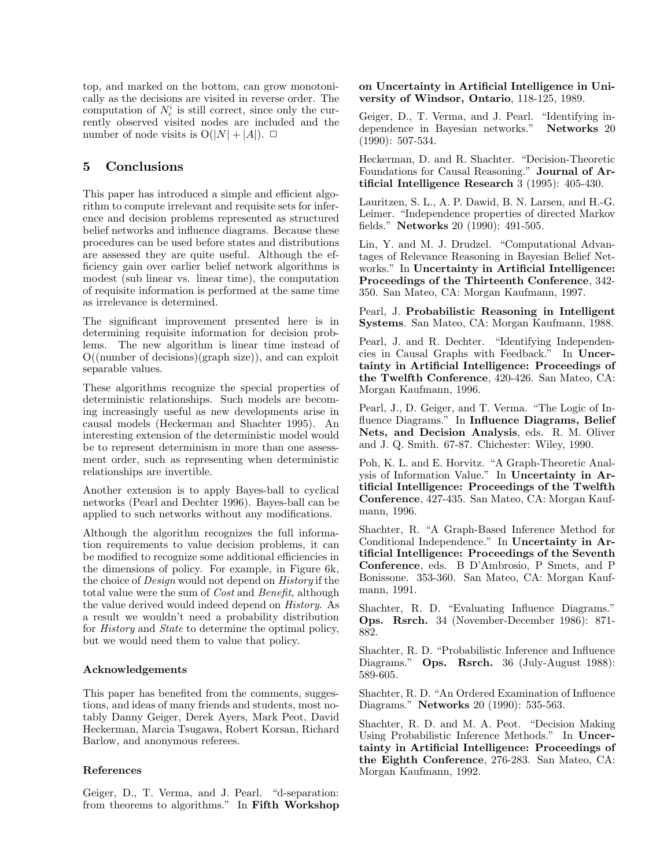top, and marked on the bottom, can grow monotoni-<br>cally as the decisions are visited in reverse order. The top, and marked on the bottom, can grow monotonically as the decisions are visited in reverse order. The computation of  $N^i$  is still correct, since only the curtop, and marked on the bottom, can grow monotonically as the decisions are visited in reverse order. The computation of  $N_e^i$  is still correct, since only the currently observed visited nodes are included and the cally as the decisions are visited in reverse order. The computation of  $N_e^i$  is still correct, since only the currently observed visited nodes are included and the number of node visits is  $O(|N| + |A|)$ computation of  $N_e^i$  is still correct, since only then rently observed visited nodes are included an number of node visits is  $O(|N| + |A|)$ .  $\Box$ number of node visits is  $O(|N| + |A|)$ .  $\Box$ <br>5 Conclusions

This paper has introduced a simple and efficient algo-This paper has introduced a simple and efficient algorithm to compute irrelevant and requisite sets for infer-<br>ence and decision problems represented as structured This paper has introduced a simple and efficient algorithm to compute irrelevant and requisite sets for inference and decision problems represented as structured belief networks and influence diagrams. Because these rithm to compute irrelevant and requisite sets for inference and decision problems represented as structured belief networks and influence diagrams. Because these procedures can be used before states and distributions ence and decision problems represented as structured<br>belief networks and influence diagrams. Because these<br>procedures can be used before states and distributions belief networks and influence diagrams. Because these<br>procedures can be used before states and distributions<br>are assessed they are quite useful. Although the ef-<br>ficiency gain over earlier belief network algorithms is procedures can be used before states and distributions<br>are assessed they are quite useful. Although the ef-<br>ficiency gain over earlier belief network algorithms is<br>modest (sub linear vs. linear time) the computation ficiency gain over earlier belief network algorithms is modest (sub linear vs. linear time), the computation<br>of requisite information is performed at the same time<br>as irrelevance is determined. of requisite information is performed at the same time

of requisite mormation is performed at the same time<br>as irrelevance is determined.<br>The significant improvement presented here is in<br>determining requisite information for decision probdetermining requisite information for decision prob-<br>determining requisite information for decision prob-<br>lems The new algorithm is linear time instead of The significant improvement presented here is in<br>determining requisite information for decision prob-<br>lems. The new algorithm is linear time instead of<br> $O((\text{number of decisions})(\text{graph size}))$  and can exploit determining requisite information for decision prob-<br>lems. The new algorithm is linear time instead of<br>O((number of decisions)(graph size)), and can exploit<br>separable values  $O((\text{number of decisions})(\text{graph size}))$ , and can exploit separable values.

These algorithms recognize the special properties of Morgan Kaufmann, 1996. deterministic relationships. Such models are becom-These algorithms recognize the special properties of<br>deterministic relationships. Such models are becom-<br>ing increasingly useful as new developments arise in<br>causal models (Heckerman and Shachter 1995) An deterministic relationships. Such models are becoming increasingly useful as new developments arise in causal models (Heckerman and Shachter 1995). An interesting extension of the deterministic model would ing increasingly useful as new developments arise in<br>causal models (Heckerman and Shachter 1995). An<br>interesting extension of the deterministic model would<br>be to represent determinism in more than one assesscausal models (Heckerman and Shachter 1995). An interesting extension of the deterministic model would be to represent determinism in more than one assessinteresting extension of the deterministic model would<br>be to represent determinism in more than one assess-<br>ment order, such as representing when deterministic<br>relationships are invertible be to represent determinism<br>ment order, such as represer<br>relationships are invertible. Another extension is to apply Bayes-ball to cyclical

netationships are invertible.<br>
Another extension is to apply Bayes-ball to cyclical<br>
networks (Pearl and Dechter 1996). Bayes-ball can be<br>
applied to such networks without any modifications Another extension is to apply Bayes-ball to cyclical<br>networks (Pearl and Dechter 1996). Bayes-ball can be<br>applied to such networks without any modifications.

applied to such networks without any modifications.<br>Although the algorithm recognizes the full informa-Although the algorithm recognizes the full informa-<br>tion requirements to value decision problems, it can<br>be modified to recognize some additional efficiencies in Although the algorithm recognizes the full information requirements to value decision problems, it can<br>be modified to recognize some additional efficiencies in<br>the dimensions of policy. For example, in Figure 6k tion requirements to value decision problems, it can<br>be modified to recognize some additional efficiencies in<br>the dimensions of policy. For example, in Figure 6k,<br>the choice of *Desian* would not depend on *History* if th be modified to recognize some additional efficiencies in<br>the dimensions of policy. For example, in Figure 6k,<br>the choice of *Design* would not depend on *History* if the<br>total value were the sum of *Cost* and *Benefit* alt the dimensions of policy. For example, in Figure 6k,<br>the choice of *Design* would not depend on *History* if the<br>total value were the sum of *Cost* and *Benefit*, although<br>the value derived would indeed depend on *History* the choice of *Design* would not depend on *History* if the total value were the sum of *Cost* and *Benefit*, although the value derived would indeed depend on *History*. As a result we wouldn't need a probability distribu total value were the sum of *Cost* and *Benefit*, although<br>the value derived would indeed depend on *History*. As<br>a result we wouldn't need a probability distribution<br>for *History* and *State* to determine the optimal pol the value derived would indeed depend on *History*. As<br>a result we wouldn't need a probability distribution<br>for *History* and *State* to determine the optimal policy,<br>but we would need them to value that policy a result we wouldn't need a probability distrifor *History* and *State* to determine the optimal but we would need them to value that policy.

### Acknowledgements

Acknowledgements<br>This paper has benefited from the comments, sugges-<br>tions, and ideas of many friends and students, most no-This paper has benefited from the comments, suggestions, and ideas of many friends and students, most no-<br>tably Danny Geiger, Derek Ayers, Mark Peot, David This paper has benefited from the comments, sugges-<br>tions, and ideas of many friends and students, most no-<br>tably Danny Geiger, Derek Ayers, Mark Peot, David<br>Heckerman, Marcia Tsugawa, Robert Korsan, Richard tions, and ideas of many friends and students, most no-<br>tably Danny Geiger, Derek Ayers, Mark Peot, David<br>Heckerman, Marcia Tsugawa, Robert Korsan, Richard<br>Barlow, and anonymous referees tably Danny Geiger, Derek Ayers,<br>Heckerman, Marcia Tsugawa, Robe<br>Barlow, and anonymous referees.

### References

References<br>Geiger, D., T. Verma, and J. Pearl. "d-separation:<br>from theorems to algorithms" In Fifth Workshop Geiger, D., T. Verma, and J. Pearl. "d-separation:<br>from theorems to algorithms." In Fifth Workshop

on Uncertainty in Artificial Intelligence in University of Windsor, Ontario, 118-125, 1989 on Uncertainty in Artificial Intelligence in l<br>versity of Windsor, Ontario, 118-125, 1989.

Solid University of Windsor, Ontario, 118-125, 1989.<br>Geiger, D., T. Verma, and J. Pearl. "Identifying in-<br>dependence in Bavesian networks" Networks 20 versity of Windsor, Ontario, 116-125, 1565.<br>Geiger, D., T. Verma, and J. Pearl. "Identifying in-<br>dependence in Bayesian networks." Networks 20<br>(1990): 507-534 Geiger, D., T. Ve:<br>dependence in Ba<br>(1990): 507-534.

(1990): 507-534.<br>(1990): 507-534.<br>Heckerman, D. and R. Shachter. "Decision-Theoretic Foundations for Causal Beasoning". Journal of Ar-(1990): 901-994.<br>Heckerman, D. and R. Shachter. "Decision-Theoretic<br>Foundations for Causal Reasoning." **Journal of Ar-**<br>tificial Intelligence Research 3 (1995): 405-430 Foundations for Causal Reasoning." Journal of Ar-

tificial Intelligence Research 3 (1995): 405-430.<br>Lauritzen, S. L., A. P. Dawid, B. N. Larsen, and H.-G.<br>Leimer. "Independence properties of directed Markov Lauritzen, S. L., A. P. Dawid, B. N. Larsen, and H.-G. fields." Networks 20 (1990): 491-505.

Echner. Intependence properties of directed Markov<br>fields." **Networks** 20 (1990): 491-505.<br>Lin, Y. and M. J. Drudzel. "Computational Advan-The Relevance Section, 191-969.<br>
Lin, Y. and M. J. Drudzel. "Computational Advan-<br>
tages of Relevance Reasoning in Bayesian Belief Net-<br>
works " In Uncertainty in Artificial Intelligence: Lin, Y. and M. J. Drudzel. "Computational Advantages of Relevance Reasoning in Bayesian Belief Networks." In Uncertainty in Artificial Intelligence:<br>Proceedings of the Thirteenth Conference 342tages of Relevance Reasoning in Bayesian Belief Networks." In Uncertainty in Artificial Intelligence:<br>Proceedings of the Thirteenth Conference, 342-<br>350. San Mateo, CA: Morgan Kaufmann, 1997. Proceedings of the Thirteenth Conference, 342-

1 Toccaings of the Thirtechth Conterence, 942<br>350. San Mateo, CA: Morgan Kaufmann, 1997.<br>Pearl, J. Probabilistic Reasoning in Intelligent<br>Systems San Mateo CA: Morgan Kaufmann 1988 Soo. San Mateo, CA: Morgan Kaufmann, 1991.<br>Pearl, J. **Probabilistic Reasoning in Intelligent**<br>**Systems**. San Mateo, CA: Morgan Kaufmann, 1988.

Pearl, J. **1 Foldomistic Teesoning in Inteingent**<br>**Systems**. San Mateo, CA: Morgan Kaufmann, 1988.<br>Pearl, J. and R. Dechter. "Identifying Independen-<br>cies in Causal Graphs with Feedback". In Uncer-Experiment Barry Water, C. Morgan Raumann, 1966.<br>Pearl, J. and R. Dechter. "Identifying Independencies in Causal Graphs with Feedback." In Uncer-Pearl, J. and R. Dechter. "Identifying Independencies in Causal Graphs with Feedback." In Uncertainty in Artificial Intelligence: Proceedings of the Twelfth Conference 420-426 San Mateo CA: cies in Causal Graphs with Feedback." In Uncertainty in Artificial Intelligence: Proceedings of<br>the Twelfth Conference, 420-426. San Mateo, CA:<br>Morgan Kaufmann 1996 the Twelfth Conference, 420-426. San Mateo, CA:

Fire Twenth Comerence, 420-420. San Matco, Cri.<br>Morgan Kaufmann, 1996.<br>Pearl, J., D. Geiger, and T. Verma. "The Logic of In-<br>fluence Diagrams." In Influence Diagrams. Belief Fluence Diagrams." In Influence Diagrams, Belief<br>fluence Diagrams." In Influence Diagrams, Belief<br>Nets and Decision Analysis eds R M Oliver Pearl, J., D. Geiger, and T. Verma. "The Logic of In-<br>fluence Diagrams." In **Influence Diagrams, Belief**<br>**Nets, and Decision Analysis**, eds. R. M. Oliver<br>and J. O. Smith. 67-87. Chichester: Wiley. 1990 fluence Diagrams." In Influence Diagrams, Belief Nets, and Decision Analysis, eds. R. M. Oliver and J. Q. Smith. 67-87. Chichester: Wiley, 1990.

Polices, and Decision Analysis, eds. T. M. Onver<br>and J. Q. Smith. 67-87. Chichester: Wiley, 1990.<br>Poh, K. L. and E. Horvitz. "A Graph-Theoretic Anal-<br>vsis of Information Value." In **Uncertainty in Ar**and *s*. e. Small, or or. ements or. whey, 1990.<br>Poh, K. L. and E. Horvitz. "A Graph-Theoretic Anal-<br>ysis of Information Value." In **Uncertainty in Ar-**<br>tificial Intelligence: Proceedings of the Twelfth Poh, K. L. and E. Horvitz. "A Graph-Theoretic Analysis of Information Value." In **Uncertainty in Artificial Intelligence: Proceedings of the Twelfth<br>Conference** 427-435 San Mateo CA: Morgan Kaufysis of Information Value." In Uncertainty in Artificial Intelligence: Proceedings of the Twelfth<br>Conference, 427-435. San Mateo, CA: Morgan Kauf-<br>mann 1996 tificial Intelligence: Proceedings of the Twelfth<br>Conference, 427-435. San Mateo, CA: Morgan Kauf-<br>mann, 1996.

Shachter, R. "A Graph-Based Inference Method for Conditional Independence." In Uncertainty in Ar-Shachter, R. "A Graph-Based Inference Method for<br>Conditional Independence." In **Uncertainty in Ar-<br>tificial Intelligence: Proceedings of the Seventh<br>Conference** eds. B D'Ambrosio. P Smets, and P Conditional Independence." In Uncertainty in Artificial Intelligence: Proceedings of the Seventh<br>Conference, eds. B D'Ambrosio, P Smets, and P<br>Bonissone, 353-360, San Mateo, CA: Morgan Kauf-Conference, eds. B D'Ambrosio, P Smets, and P Bonissone. 353-360. San Mateo, CA: Morgan Kauf-mann, 1991. Bonissone. 353-360. San Mateo, CA: Morgan Kauf-

Shachter, R. D. "Evaluating Influence Diagrams." Ops. Rsrch. 34 (November-December 1986): 871- 882.

Shachter, R. D. "Probabilistic Inference and Influence Diagrams." Ops. Rsrch. 36 (July-August 1988): 589-605.

Sag-605.<br>589-605.<br>Shachter, R. D. "An Ordered Examination of Influence<br>Diagrams" Networks 20 (1990): 535-563 Sos-<sub>009</sub>.<br>Shachter, R. D. "An Ordered Examination of l<br>Diagrams." **Networks** 20 (1990): 535-563. Diagrams." **Networks** 20 (1990): 535-563.<br>Shachter, R. D. and M. A. Peot. "Decision Making

Engrams. Technolds 20 (1990). 999-909.<br>Shachter, R. D. and M. A. Peot. "Decision Making<br>Using Probabilistic Inference Methods." In Uncer-<br>tainty in Artificial Intelligence: Proceedings of Shachter, R. D. and M. A. Peot. "Decision Making<br>Using Probabilistic Inference Methods." In Uncer-<br>tainty in Artificial Intelligence: Proceedings of<br>the Eighth Conference 276-283. San Mateo. CA: tainty in Artificial Intelligence: Proceedings of the Eighth Conference, 276-283. San Mateo, CA: Morgan Kaufmann, 1992. the Eighth Conference, 276-283. San Mateo, CA: